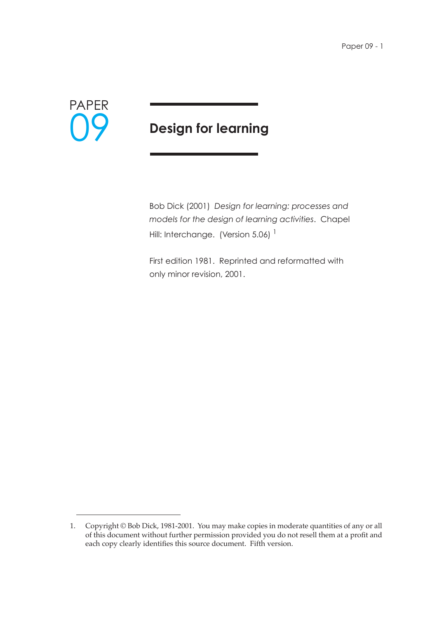

# **Design for learning**

Bob Dick (2001) *Design for learning: processes and models for the design of learning activities*. Chapel Hill: Interchange. (Version 5.06)<sup>1</sup>

First edition 1981. Reprinted and reformatted with only minor revision, 2001.

<sup>1.</sup> Copyright © Bob Dick, 1981-2001. You may make copies in moderate quantities of any or all of this document without further permission provided you do not resell them at a profit and each copy clearly identifies this source document. Fifth version.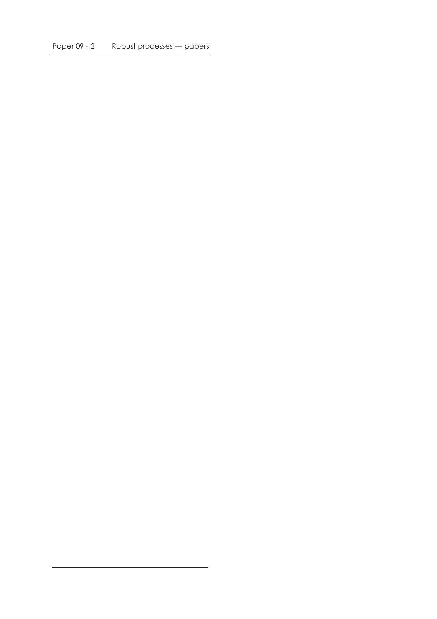Paper 09 - 2 Robust processes — papers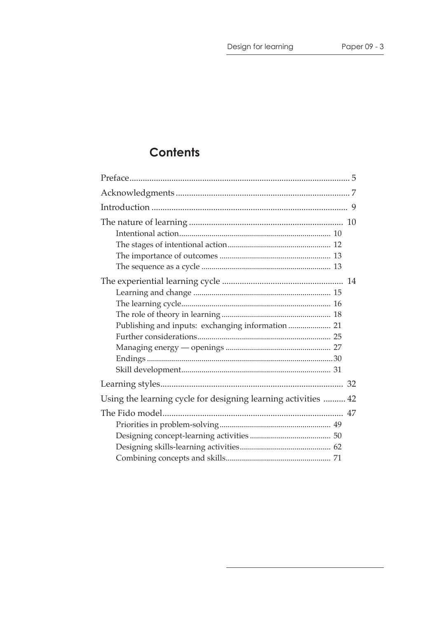# **Contents**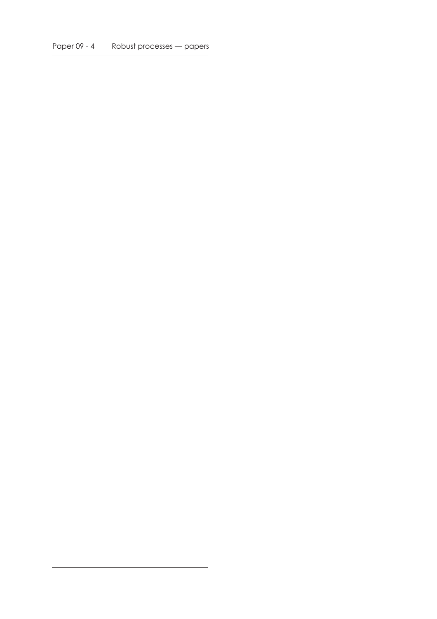Paper 09 - 4 Robust processes — papers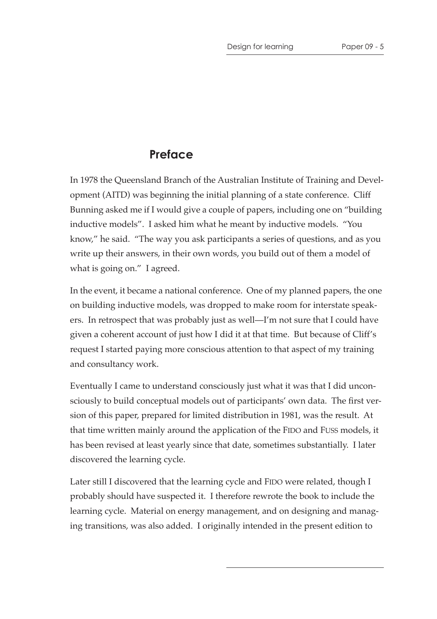### **Preface**

In 1978 the Queensland Branch of the Australian Institute of Training and Development (AITD) was beginning the initial planning of a state conference. Cliff Bunning asked me if I would give a couple of papers, including one on "building inductive models". I asked him what he meant by inductive models. "You know," he said. "The way you ask participants a series of questions, and as you write up their answers, in their own words, you build out of them a model of what is going on." I agreed.

In the event, it became a national conference. One of my planned papers, the one on building inductive models, was dropped to make room for interstate speakers. In retrospect that was probably just as well—I'm not sure that I could have given a coherent account of just how I did it at that time. But because of Cliff's request I started paying more conscious attention to that aspect of my training and consultancy work.

Eventually I came to understand consciously just what it was that I did unconsciously to build conceptual models out of participants' own data. The first version of this paper, prepared for limited distribution in 1981, was the result. At that time written mainly around the application of the FIDO and FUSS models, it has been revised at least yearly since that date, sometimes substantially. I later discovered the learning cycle.

Later still I discovered that the learning cycle and FIDO were related, though I probably should have suspected it. I therefore rewrote the book to include the learning cycle. Material on energy management, and on designing and managing transitions, was also added. I originally intended in the present edition to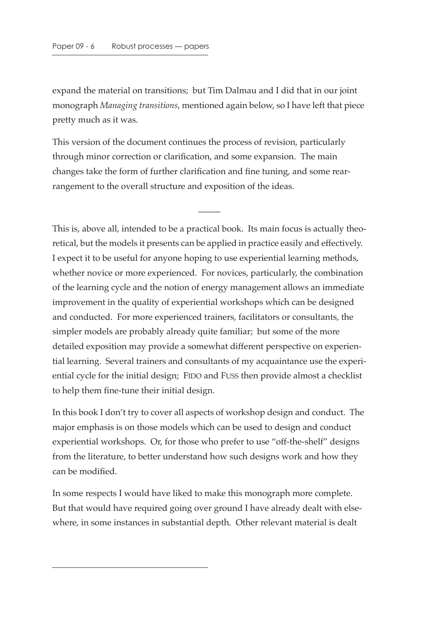expand the material on transitions; but Tim Dalmau and I did that in our joint monograph *Managing transitions*, mentioned again below, so I have left that piece pretty much as it was.

This version of the document continues the process of revision, particularly through minor correction or clarification, and some expansion. The main changes take the form of further clarification and fine tuning, and some rearrangement to the overall structure and exposition of the ideas.

 $\overline{\phantom{a}}$ 

This is, above all, intended to be a practical book. Its main focus is actually theoretical, but the models it presents can be applied in practice easily and effectively. I expect it to be useful for anyone hoping to use experiential learning methods, whether novice or more experienced. For novices, particularly, the combination of the learning cycle and the notion of energy management allows an immediate improvement in the quality of experiential workshops which can be designed and conducted. For more experienced trainers, facilitators or consultants, the simpler models are probably already quite familiar; but some of the more detailed exposition may provide a somewhat different perspective on experiential learning. Several trainers and consultants of my acquaintance use the experiential cycle for the initial design; FIDO and FUSS then provide almost a checklist to help them fine-tune their initial design.

In this book I don't try to cover all aspects of workshop design and conduct. The major emphasis is on those models which can be used to design and conduct experiential workshops. Or, for those who prefer to use "off-the-shelf" designs from the literature, to better understand how such designs work and how they can be modified.

In some respects I would have liked to make this monograph more complete. But that would have required going over ground I have already dealt with elsewhere, in some instances in substantial depth. Other relevant material is dealt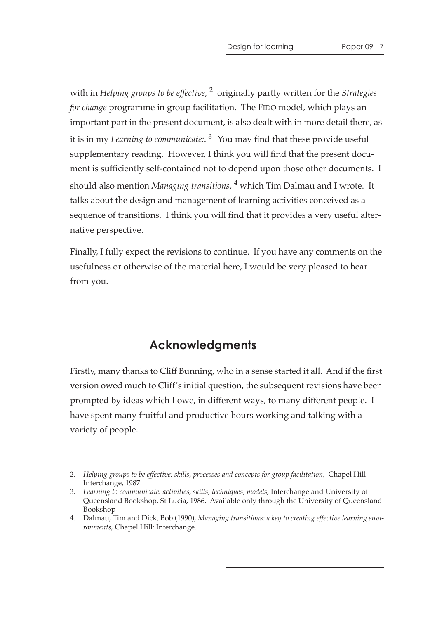with in *Helping groups to be effective,* <sup>2</sup>originally partly written for the *Strategies for change* programme in group facilitation. The FIDO model, which plays an important part in the present document, is also dealt with in more detail there, as it is in my *Learning to communicate:*. 3 You may find that these provide useful supplementary reading. However, I think you will find that the present document is sufficiently self-contained not to depend upon those other documents. I should also mention *Managing transitions*, 4 which Tim Dalmau and I wrote. It talks about the design and management of learning activities conceived as a sequence of transitions. I think you will find that it provides a very useful alternative perspective.

Finally, I fully expect the revisions to continue. If you have any comments on the usefulness or otherwise of the material here, I would be very pleased to hear from you.

### **Acknowledgments**

Firstly, many thanks to Cliff Bunning, who in a sense started it all. And if the first version owed much to Cliff's initial question, the subsequent revisions have been prompted by ideas which I owe, in different ways, to many different people. I have spent many fruitful and productive hours working and talking with a variety of people.

<sup>2.</sup> *Helping groups to be effective: skills, processes and concepts for group facilitation*, Chapel Hill: Interchange, 1987.

<sup>3.</sup> *Learning to communicate: activities, skills, techniques, models*, Interchange and University of Queensland Bookshop, St Lucia, 1986. Available only through the University of Queensland Bookshop

<sup>4.</sup> Dalmau, Tim and Dick, Bob (1990), *Managing transitions: a key to creating effective learning environments*, Chapel Hill: Interchange.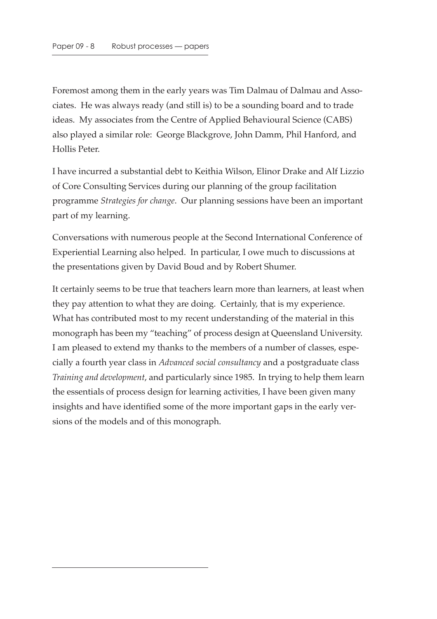Foremost among them in the early years was Tim Dalmau of Dalmau and Associates. He was always ready (and still is) to be a sounding board and to trade ideas. My associates from the Centre of Applied Behavioural Science (CABS) also played a similar role: George Blackgrove, John Damm, Phil Hanford, and Hollis Peter.

I have incurred a substantial debt to Keithia Wilson, Elinor Drake and Alf Lizzio of Core Consulting Services during our planning of the group facilitation programme *Strategies for change*. Our planning sessions have been an important part of my learning.

Conversations with numerous people at the Second International Conference of Experiential Learning also helped. In particular, I owe much to discussions at the presentations given by David Boud and by Robert Shumer.

It certainly seems to be true that teachers learn more than learners, at least when they pay attention to what they are doing. Certainly, that is my experience. What has contributed most to my recent understanding of the material in this monograph has been my "teaching" of process design at Queensland University. I am pleased to extend my thanks to the members of a number of classes, especially a fourth year class in *Advanced social consultancy* and a postgraduate class *Training and development*, and particularly since 1985. In trying to help them learn the essentials of process design for learning activities, I have been given many insights and have identified some of the more important gaps in the early versions of the models and of this monograph.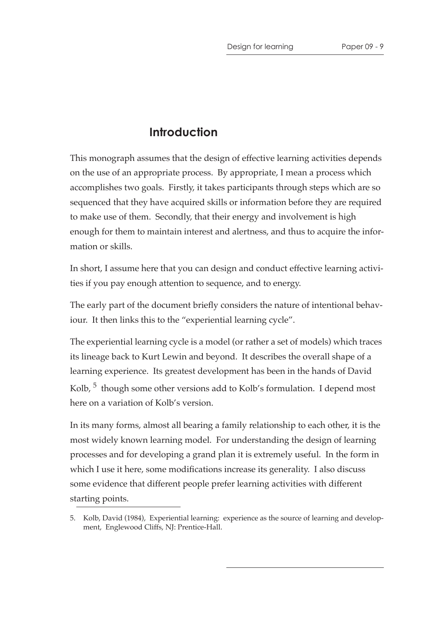## **Introduction**

This monograph assumes that the design of effective learning activities depends on the use of an appropriate process. By appropriate, I mean a process which accomplishes two goals. Firstly, it takes participants through steps which are so sequenced that they have acquired skills or information before they are required to make use of them. Secondly, that their energy and involvement is high enough for them to maintain interest and alertness, and thus to acquire the information or skills.

In short, I assume here that you can design and conduct effective learning activities if you pay enough attention to sequence, and to energy.

The early part of the document briefly considers the nature of intentional behaviour. It then links this to the "experiential learning cycle".

The experiential learning cycle is a model (or rather a set of models) which traces its lineage back to Kurt Lewin and beyond. It describes the overall shape of a learning experience. Its greatest development has been in the hands of David Kolb, <sup>5</sup> though some other versions add to Kolb's formulation. I depend most here on a variation of Kolb's version.

In its many forms, almost all bearing a family relationship to each other, it is the most widely known learning model. For understanding the design of learning processes and for developing a grand plan it is extremely useful. In the form in which I use it here, some modifications increase its generality. I also discuss some evidence that different people prefer learning activities with different starting points.

<sup>5.</sup> Kolb, David (1984), Experiential learning: experience as the source of learning and development, Englewood Cliffs, NJ: Prentice-Hall.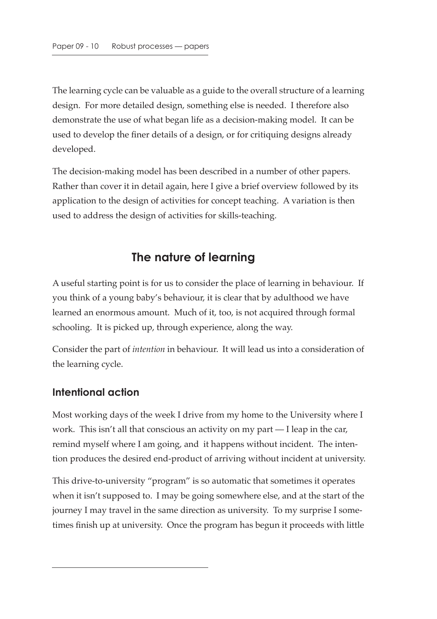The learning cycle can be valuable as a guide to the overall structure of a learning design. For more detailed design, something else is needed. I therefore also demonstrate the use of what began life as a decision-making model. It can be used to develop the finer details of a design, or for critiquing designs already developed.

The decision-making model has been described in a number of other papers. Rather than cover it in detail again, here I give a brief overview followed by its application to the design of activities for concept teaching. A variation is then used to address the design of activities for skills-teaching.

## **The nature of learning**

A useful starting point is for us to consider the place of learning in behaviour. If you think of a young baby's behaviour, it is clear that by adulthood we have learned an enormous amount. Much of it, too, is not acquired through formal schooling. It is picked up, through experience, along the way.

Consider the part of *intention* in behaviour. It will lead us into a consideration of the learning cycle.

#### **Intentional action**

Most working days of the week I drive from my home to the University where I work. This isn't all that conscious an activity on my part — I leap in the car, remind myself where I am going, and it happens without incident. The intention produces the desired end-product of arriving without incident at university.

This drive-to-university "program" is so automatic that sometimes it operates when it isn't supposed to. I may be going somewhere else, and at the start of the journey I may travel in the same direction as university. To my surprise I sometimes finish up at university. Once the program has begun it proceeds with little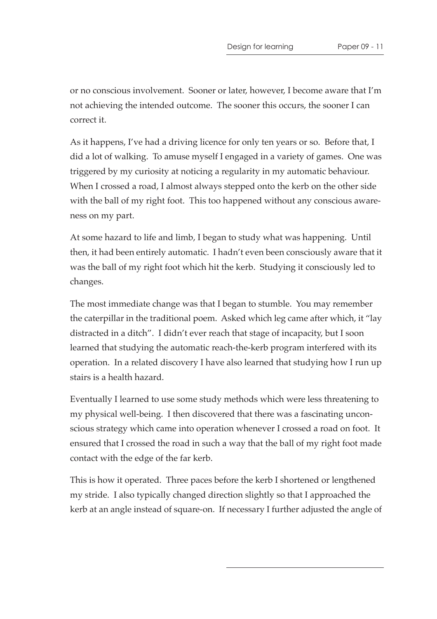or no conscious involvement. Sooner or later, however, I become aware that I'm not achieving the intended outcome. The sooner this occurs, the sooner I can correct it.

As it happens, I've had a driving licence for only ten years or so. Before that, I did a lot of walking. To amuse myself I engaged in a variety of games. One was triggered by my curiosity at noticing a regularity in my automatic behaviour. When I crossed a road, I almost always stepped onto the kerb on the other side with the ball of my right foot. This too happened without any conscious awareness on my part.

At some hazard to life and limb, I began to study what was happening. Until then, it had been entirely automatic. I hadn't even been consciously aware that it was the ball of my right foot which hit the kerb. Studying it consciously led to changes.

The most immediate change was that I began to stumble. You may remember the caterpillar in the traditional poem. Asked which leg came after which, it "lay distracted in a ditch". I didn't ever reach that stage of incapacity, but I soon learned that studying the automatic reach-the-kerb program interfered with its operation. In a related discovery I have also learned that studying how I run up stairs is a health hazard.

Eventually I learned to use some study methods which were less threatening to my physical well-being. I then discovered that there was a fascinating unconscious strategy which came into operation whenever I crossed a road on foot. It ensured that I crossed the road in such a way that the ball of my right foot made contact with the edge of the far kerb.

This is how it operated. Three paces before the kerb I shortened or lengthened my stride. I also typically changed direction slightly so that I approached the kerb at an angle instead of square-on. If necessary I further adjusted the angle of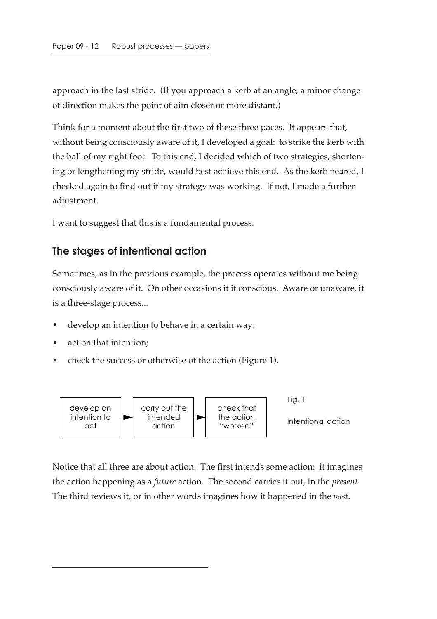approach in the last stride. (If you approach a kerb at an angle, a minor change of direction makes the point of aim closer or more distant.)

Think for a moment about the first two of these three paces. It appears that, without being consciously aware of it, I developed a goal: to strike the kerb with the ball of my right foot. To this end, I decided which of two strategies, shortening or lengthening my stride, would best achieve this end. As the kerb neared, I checked again to find out if my strategy was working. If not, I made a further adjustment.

I want to suggest that this is a fundamental process.

### **The stages of intentional action**

Sometimes, as in the previous example, the process operates without me being consciously aware of it. On other occasions it it conscious. Aware or unaware, it is a three-stage process...

- develop an intention to behave in a certain way;
- act on that intention:
- check the success or otherwise of the action (Figure 1).



Notice that all three are about action. The first intends some action: it imagines the action happening as a *future* action. The second carries it out, in the *present*. The third reviews it, or in other words imagines how it happened in the *past*.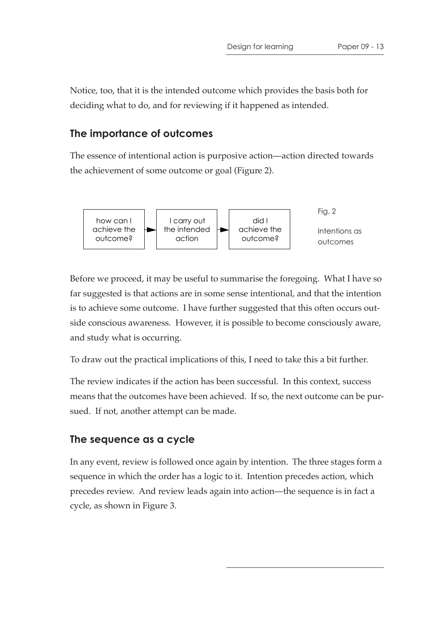Notice, too, that it is the intended outcome which provides the basis both for deciding what to do, and for reviewing if it happened as intended.

### **The importance of outcomes**

The essence of intentional action is purposive action—action directed towards the achievement of some outcome or goal (Figure 2).



Before we proceed, it may be useful to summarise the foregoing. What I have so far suggested is that actions are in some sense intentional, and that the intention is to achieve some outcome. I have further suggested that this often occurs outside conscious awareness. However, it is possible to become consciously aware, and study what is occurring.

To draw out the practical implications of this, I need to take this a bit further.

The review indicates if the action has been successful. In this context, success means that the outcomes have been achieved. If so, the next outcome can be pursued. If not, another attempt can be made.

#### **The sequence as a cycle**

In any event, review is followed once again by intention. The three stages form a sequence in which the order has a logic to it. Intention precedes action, which precedes review. And review leads again into action—the sequence is in fact a cycle, as shown in Figure 3.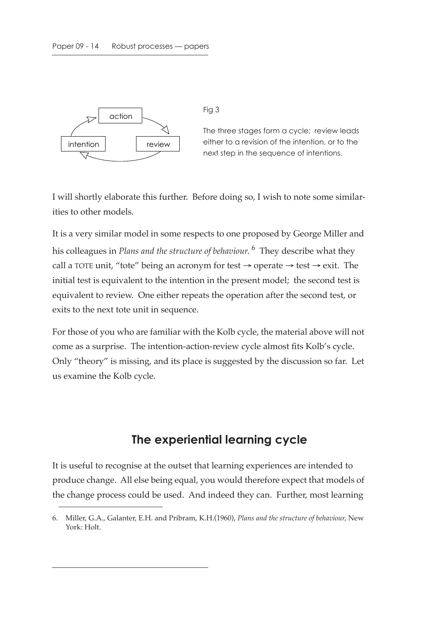

I will shortly elaborate this further. Before doing so, I wish to note some similarities to other models.

It is a very similar model in some respects to one proposed by George Miller and his colleagues in *Plans and the structure of behaviour*. 6 They describe what they call a TOTE unit, "tote" being an acronym for test  $\rightarrow$  operate  $\rightarrow$  test  $\rightarrow$  exit. The initial test is equivalent to the intention in the present model; the second test is equivalent to review. One either repeats the operation after the second test, or exits to the next tote unit in sequence.

For those of you who are familiar with the Kolb cycle, the material above will not come as a surprise. The intention-action-review cycle almost fits Kolb's cycle. Only "theory" is missing, and its place is suggested by the discussion so far. Let us examine the Kolb cycle.

### **The experiential learning cycle**

It is useful to recognise at the outset that learning experiences are intended to produce change. All else being equal, you would therefore expect that models of the change process could be used. And indeed they can. Further, most learning

<sup>6.</sup> Miller, G.A., Galanter, E.H. and Pribram, K.H.(1960), *Plans and the structure of behaviour*, New York: Holt.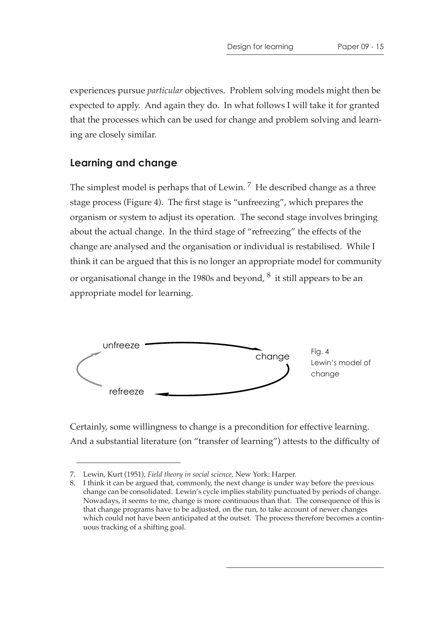experiences pursue *particular* objectives. Problem solving models might then be expected to apply. And again they do. In what follows I will take it for granted that the processes which can be used for change and problem solving and learning are closely similar.

### **Learning and change**

The simplest model is perhaps that of Lewin.<sup>7</sup> He described change as a three stage process (Figure 4). The first stage is "unfreezing", which prepares the organism or system to adjust its operation. The second stage involves bringing about the actual change. In the third stage of "refreezing" the effects of the change are analysed and the organisation or individual is restabilised. While I think it can be argued that this is no longer an appropriate model for community or organisational change in the 1980s and beyond,  $8$  it still appears to be an appropriate model for learning.



Certainly, some willingness to change is a precondition for effective learning. And a substantial literature (on "transfer of learning") attests to the difficulty of

<sup>7.</sup> Lewin, Kurt (1951), *Field theory in social science*, New York: Harper.

<sup>8.</sup> I think it can be argued that, commonly, the next change is under way before the previous change can be consolidated. Lewin's cycle implies stability punctuated by periods of change. Nowadays, it seems to me, change is more continuous than that. The consequence of this is that change programs have to be adjusted, on the run, to take account of newer changes which could not have been anticipated at the outset. The process therefore becomes a continuous tracking of a shifting goal.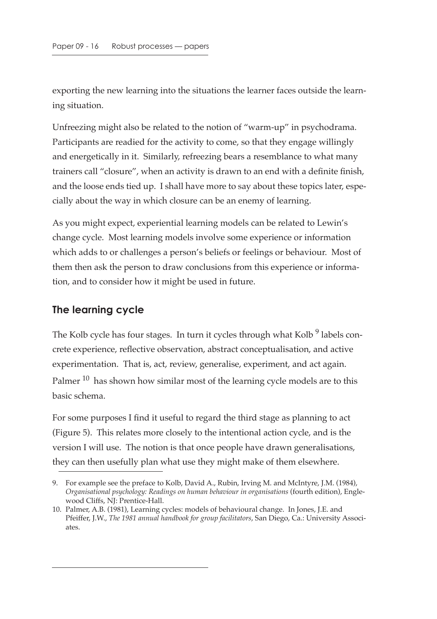exporting the new learning into the situations the learner faces outside the learning situation.

Unfreezing might also be related to the notion of "warm-up" in psychodrama. Participants are readied for the activity to come, so that they engage willingly and energetically in it. Similarly, refreezing bears a resemblance to what many trainers call "closure", when an activity is drawn to an end with a definite finish, and the loose ends tied up. I shall have more to say about these topics later, especially about the way in which closure can be an enemy of learning.

As you might expect, experiential learning models can be related to Lewin's change cycle. Most learning models involve some experience or information which adds to or challenges a person's beliefs or feelings or behaviour. Most of them then ask the person to draw conclusions from this experience or information, and to consider how it might be used in future.

#### **The learning cycle**

The Kolb cycle has four stages. In turn it cycles through what Kolb<sup>9</sup> labels concrete experience, reflective observation, abstract conceptualisation, and active experimentation. That is, act, review, generalise, experiment, and act again. Palmer<sup>10</sup> has shown how similar most of the learning cycle models are to this basic schema.

For some purposes I find it useful to regard the third stage as planning to act (Figure 5). This relates more closely to the intentional action cycle, and is the version I will use. The notion is that once people have drawn generalisations, they can then usefully plan what use they might make of them elsewhere.

<sup>9.</sup> For example see the preface to Kolb, David A., Rubin, Irving M. and McIntyre, J.M. (1984), *Organisational psychology: Readings on human behaviour in organisations* (fourth edition), Englewood Cliffs, NJ: Prentice-Hall.

<sup>10.</sup> Palmer, A.B. (1981), Learning cycles: models of behavioural change. In Jones, J.E. and Pfeiffer, J.W., *The 1981 annual handbook for group facilitators*, San Diego, Ca.: University Associates.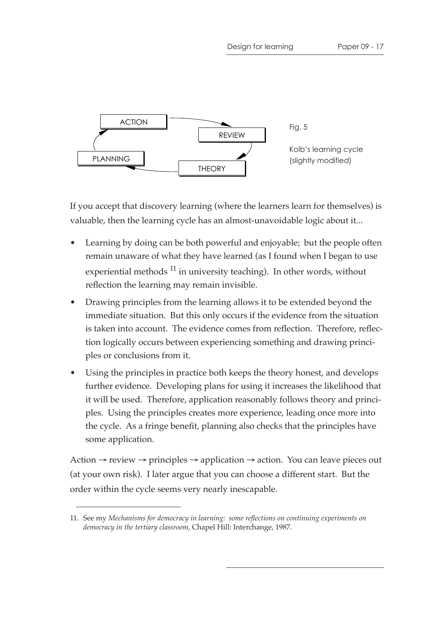

If you accept that discovery learning (where the learners learn for themselves) is valuable, then the learning cycle has an almost-unavoidable logic about it...

- Learning by doing can be both powerful and enjoyable; but the people often remain unaware of what they have learned (as I found when I began to use experiential methods <sup>11</sup> in university teaching). In other words, without reflection the learning may remain invisible.
- Drawing principles from the learning allows it to be extended beyond the immediate situation. But this only occurs if the evidence from the situation is taken into account. The evidence comes from reflection. Therefore, reflection logically occurs between experiencing something and drawing principles or conclusions from it.
- Using the principles in practice both keeps the theory honest, and develops further evidence. Developing plans for using it increases the likelihood that it will be used. Therefore, application reasonably follows theory and principles. Using the principles creates more experience, leading once more into the cycle. As a fringe benefit, planning also checks that the principles have some application.

Action  $\rightarrow$  review  $\rightarrow$  principles  $\rightarrow$  application  $\rightarrow$  action. You can leave pieces out (at your own risk). I later argue that you can choose a different start. But the order within the cycle seems very nearly inescapable.

<sup>11.</sup> See my *Mechanisms for democracy in learning: some reflections on continuing experiments on democracy in the tertiary classroom*, Chapel Hill: Interchange, 1987.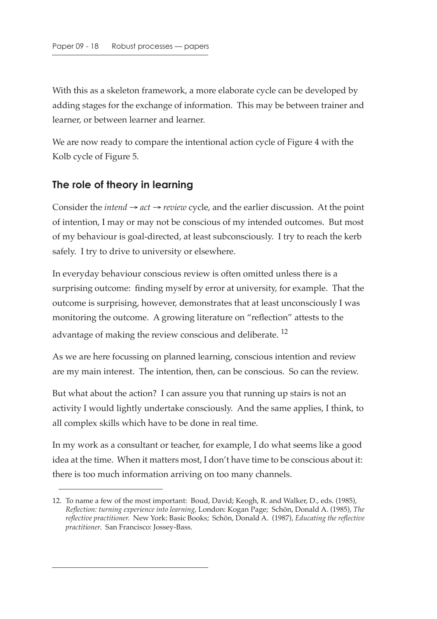With this as a skeleton framework, a more elaborate cycle can be developed by adding stages for the exchange of information. This may be between trainer and learner, or between learner and learner.

We are now ready to compare the intentional action cycle of Figure 4 with the Kolb cycle of Figure 5.

#### **The role of theory in learning**

Consider the *intend*  $\rightarrow$  *act*  $\rightarrow$  *review* cycle, and the earlier discussion. At the point of intention, I may or may not be conscious of my intended outcomes. But most of my behaviour is goal-directed, at least subconsciously. I try to reach the kerb safely. I try to drive to university or elsewhere.

In everyday behaviour conscious review is often omitted unless there is a surprising outcome: finding myself by error at university, for example. That the outcome is surprising, however, demonstrates that at least unconsciously I was monitoring the outcome. A growing literature on "reflection" attests to the advantage of making the review conscious and deliberate.<sup>12</sup>

As we are here focussing on planned learning, conscious intention and review are my main interest. The intention, then, can be conscious. So can the review.

But what about the action? I can assure you that running up stairs is not an activity I would lightly undertake consciously. And the same applies, I think, to all complex skills which have to be done in real time.

In my work as a consultant or teacher, for example, I do what seems like a good idea at the time. When it matters most, I don't have time to be conscious about it: there is too much information arriving on too many channels.

<sup>12.</sup> To name a few of the most important: Boud, David; Keogh, R. and Walker, D., eds. (1985), *Reflection: turning experience into learning*, London: Kogan Page; Schön, Donald A. (1985), *The reflective practitioner*. New York: Basic Books; Schön, Donald A. (1987), *Educating the reflective practitioner*. San Francisco: Jossey-Bass.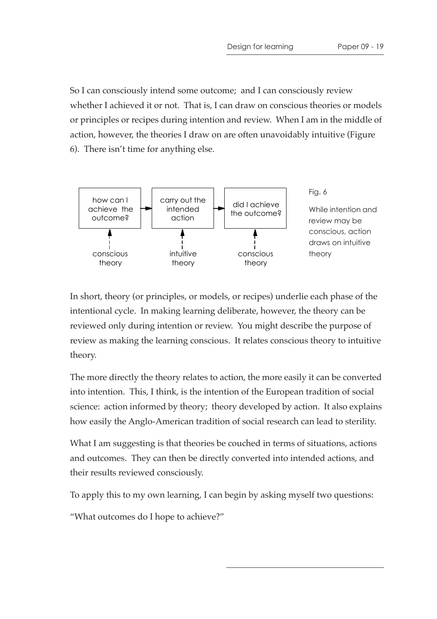So I can consciously intend some outcome; and I can consciously review whether I achieved it or not. That is, I can draw on conscious theories or models or principles or recipes during intention and review. When I am in the middle of action, however, the theories I draw on are often unavoidably intuitive (Figure 6). There isn't time for anything else.



In short, theory (or principles, or models, or recipes) underlie each phase of the intentional cycle. In making learning deliberate, however, the theory can be reviewed only during intention or review. You might describe the purpose of review as making the learning conscious. It relates conscious theory to intuitive theory.

The more directly the theory relates to action, the more easily it can be converted into intention. This, I think, is the intention of the European tradition of social science: action informed by theory; theory developed by action. It also explains how easily the Anglo-American tradition of social research can lead to sterility.

What I am suggesting is that theories be couched in terms of situations, actions and outcomes. They can then be directly converted into intended actions, and their results reviewed consciously.

To apply this to my own learning, I can begin by asking myself two questions:

"What outcomes do I hope to achieve?"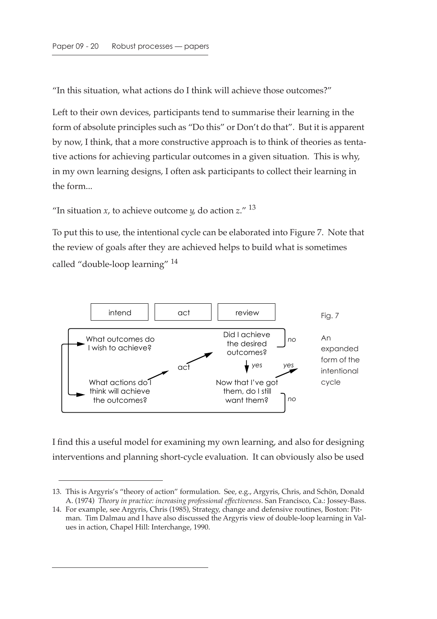"In this situation, what actions do I think will achieve those outcomes?"

Left to their own devices, participants tend to summarise their learning in the form of absolute principles such as "Do this" or Don't do that". But it is apparent by now, I think, that a more constructive approach is to think of theories as tentative actions for achieving particular outcomes in a given situation. This is why, in my own learning designs, I often ask participants to collect their learning in the form...

"In situation *x*, to achieve outcome  $\nu$ , do action *z*."<sup>13</sup>

To put this to use, the intentional cycle can be elaborated into Figure 7. Note that the review of goals after they are achieved helps to build what is sometimes called "double-loop learning" 14



I find this a useful model for examining my own learning, and also for designing interventions and planning short-cycle evaluation. It can obviously also be used

<sup>13.</sup> This is Argyris's "theory of action" formulation. See, e.g., Argyris, Chris, and Schön, Donald A. (1974) *Theory in practice: increasing professional effectiveness*. San Francisco, Ca.: Jossey-Bass.

<sup>14.</sup> For example, see Argyris, Chris (1985), Strategy, change and defensive routines, Boston: Pitman. Tim Dalmau and I have also discussed the Argyris view of double-loop learning in Values in action, Chapel Hill: Interchange, 1990.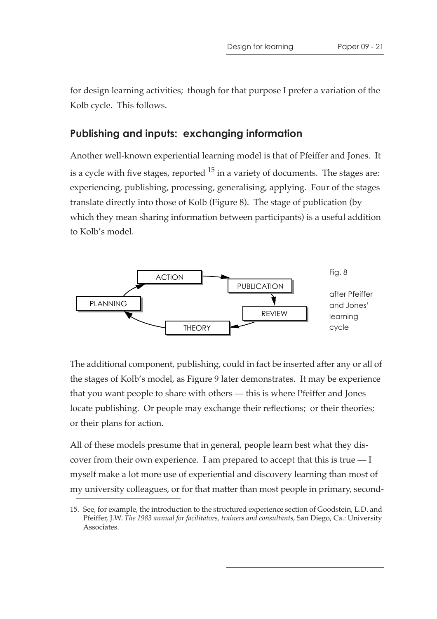for design learning activities; though for that purpose I prefer a variation of the Kolb cycle. This follows.

#### **Publishing and inputs: exchanging information**

Another well-known experiential learning model is that of Pfeiffer and Jones. It is a cycle with five stages, reported  $15$  in a variety of documents. The stages are: experiencing, publishing, processing, generalising, applying. Four of the stages translate directly into those of Kolb (Figure 8). The stage of publication (by which they mean sharing information between participants) is a useful addition to Kolb's model.



The additional component, publishing, could in fact be inserted after any or all of the stages of Kolb's model, as Figure 9 later demonstrates. It may be experience that you want people to share with others — this is where Pfeiffer and Jones locate publishing. Or people may exchange their reflections; or their theories; or their plans for action.

All of these models presume that in general, people learn best what they discover from their own experience. I am prepared to accept that this is true — I myself make a lot more use of experiential and discovery learning than most of my university colleagues, or for that matter than most people in primary, second-

<sup>15.</sup> See, for example, the introduction to the structured experience section of Goodstein, L.D. and Pfeiffer, J.W. *The 1983 annual for facilitators, trainers and consultants*, San Diego, Ca.: University Associates.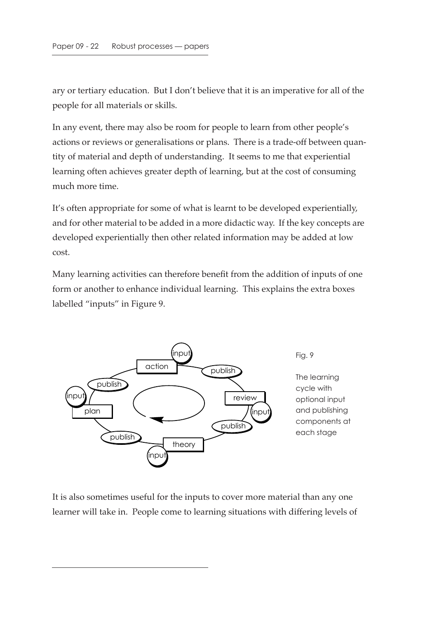ary or tertiary education. But I don't believe that it is an imperative for all of the people for all materials or skills.

In any event, there may also be room for people to learn from other people's actions or reviews or generalisations or plans. There is a trade-off between quantity of material and depth of understanding. It seems to me that experiential learning often achieves greater depth of learning, but at the cost of consuming much more time.

It's often appropriate for some of what is learnt to be developed experientially, and for other material to be added in a more didactic way. If the key concepts are developed experientially then other related information may be added at low cost.

Many learning activities can therefore benefit from the addition of inputs of one form or another to enhance individual learning. This explains the extra boxes labelled "inputs" in Figure 9.



It is also sometimes useful for the inputs to cover more material than any one learner will take in. People come to learning situations with differing levels of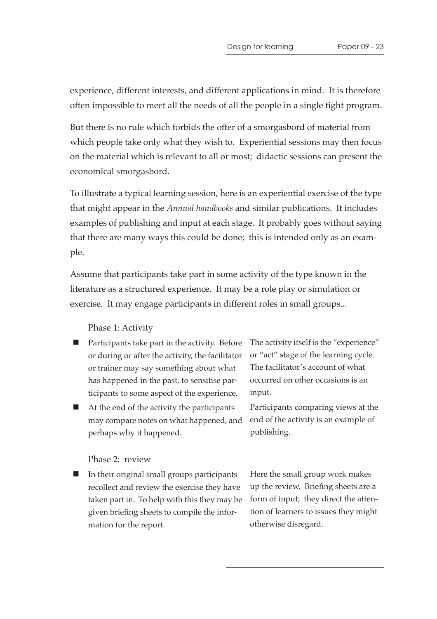experience, different interests, and different applications in mind. It is therefore often impossible to meet all the needs of all the people in a single tight program.

But there is no rule which forbids the offer of a smorgasbord of material from which people take only what they wish to. Experiential sessions may then focus on the material which is relevant to all or most; didactic sessions can present the economical smorgasbord.

To illustrate a typical learning session, here is an experiential exercise of the type that might appear in the *Annual handbooks* and similar publications. It includes examples of publishing and input at each stage. It probably goes without saying that there are many ways this could be done; this is intended only as an example.

Assume that participants take part in some activity of the type known in the literature as a structured experience. It may be a role play or simulation or exercise. It may engage participants in different roles in small groups...

#### Phase 1: Activity

- Participants take part in the activity. Before or during or after the activity, the facilitator or trainer may say something about what has happened in the past, to sensitise participants to some aspect of the experience.
- At the end of the activity the participants may compare notes on what happened, and perhaps why it happened.

#### Phase 2: review

 In their original small groups participants recollect and review the exercise they have taken part in. To help with this they may be given briefing sheets to compile the information for the report.

The activity itself is the "experience" or "act" stage of the learning cycle. The facilitator's account of what occurred on other occasions is an input.

Participants comparing views at the end of the activity is an example of publishing.

Here the small group work makes up the review. Briefing sheets are a form of input; they direct the attention of learners to issues they might otherwise disregard.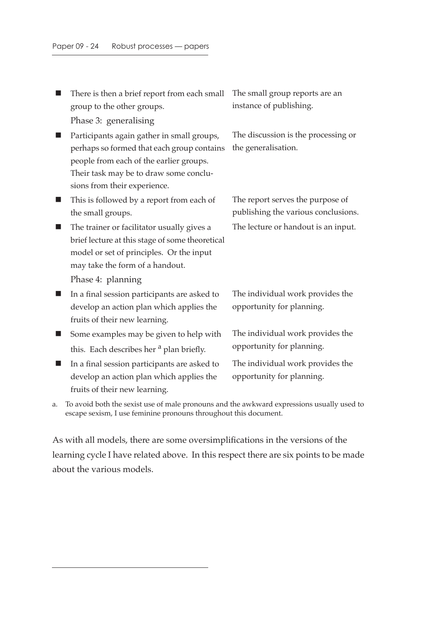- There is then a brief report from each small group to the other groups. The small group reports are an instance of publishing. Phase 3: generalising ■ Participants again gather in small groups, perhaps so formed that each group contains people from each of the earlier groups. Their task may be to draw some conclusions from their experience. The discussion is the processing or the generalisation. This is followed by a report from each of the small groups. The report serves the purpose of publishing the various conclusions. ■ The trainer or facilitator usually gives a brief lecture at this stage of some theoretical model or set of principles. Or the input may take the form of a handout. The lecture or handout is an input. Phase 4: planning ■ In a final session participants are asked to develop an action plan which applies the fruits of their new learning. The individual work provides the opportunity for planning. Some examples may be given to help with this. Each describes her  $a$  plan briefly. The individual work provides the opportunity for planning. ■ In a final session participants are asked to develop an action plan which applies the fruits of their new learning. The individual work provides the opportunity for planning.
- a. To avoid both the sexist use of male pronouns and the awkward expressions usually used to escape sexism, I use feminine pronouns throughout this document.

As with all models, there are some oversimplifications in the versions of the learning cycle I have related above. In this respect there are six points to be made about the various models.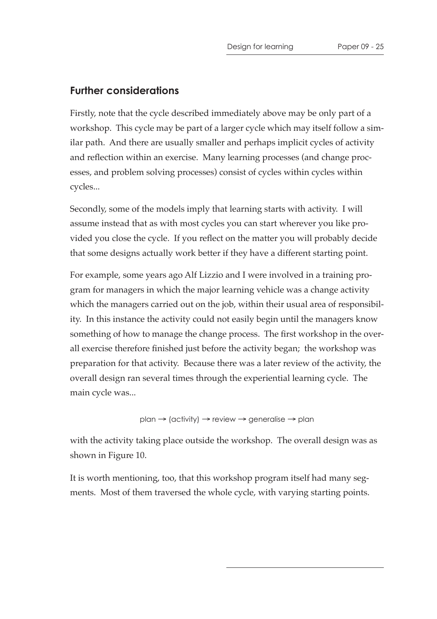#### **Further considerations**

Firstly, note that the cycle described immediately above may be only part of a workshop. This cycle may be part of a larger cycle which may itself follow a similar path. And there are usually smaller and perhaps implicit cycles of activity and reflection within an exercise. Many learning processes (and change processes, and problem solving processes) consist of cycles within cycles within cycles...

Secondly, some of the models imply that learning starts with activity. I will assume instead that as with most cycles you can start wherever you like provided you close the cycle. If you reflect on the matter you will probably decide that some designs actually work better if they have a different starting point.

For example, some years ago Alf Lizzio and I were involved in a training program for managers in which the major learning vehicle was a change activity which the managers carried out on the job, within their usual area of responsibility. In this instance the activity could not easily begin until the managers know something of how to manage the change process. The first workshop in the overall exercise therefore finished just before the activity began; the workshop was preparation for that activity. Because there was a later review of the activity, the overall design ran several times through the experiential learning cycle. The main cycle was...

```
plan \rightarrow (activity) \rightarrow review \rightarrow generalize \rightarrow plan
```
with the activity taking place outside the workshop. The overall design was as shown in Figure 10.

It is worth mentioning, too, that this workshop program itself had many segments. Most of them traversed the whole cycle, with varying starting points.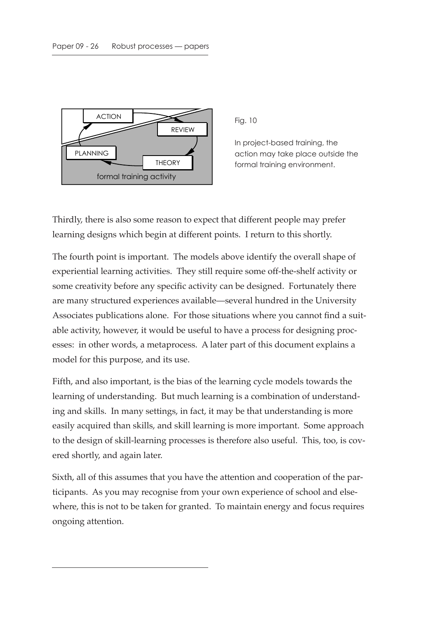



In project-based training, the action may take place outside the formal training environment.

Thirdly, there is also some reason to expect that different people may prefer learning designs which begin at different points. I return to this shortly.

The fourth point is important. The models above identify the overall shape of experiential learning activities. They still require some off-the-shelf activity or some creativity before any specific activity can be designed. Fortunately there are many structured experiences available—several hundred in the University Associates publications alone. For those situations where you cannot find a suitable activity, however, it would be useful to have a process for designing processes: in other words, a metaprocess. A later part of this document explains a model for this purpose, and its use.

Fifth, and also important, is the bias of the learning cycle models towards the learning of understanding. But much learning is a combination of understanding and skills. In many settings, in fact, it may be that understanding is more easily acquired than skills, and skill learning is more important. Some approach to the design of skill-learning processes is therefore also useful. This, too, is covered shortly, and again later.

Sixth, all of this assumes that you have the attention and cooperation of the participants. As you may recognise from your own experience of school and elsewhere, this is not to be taken for granted. To maintain energy and focus requires ongoing attention.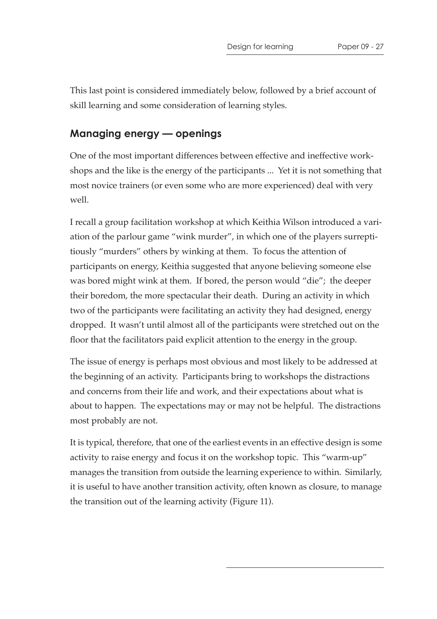This last point is considered immediately below, followed by a brief account of skill learning and some consideration of learning styles.

#### **Managing energy — openings**

One of the most important differences between effective and ineffective workshops and the like is the energy of the participants ... Yet it is not something that most novice trainers (or even some who are more experienced) deal with very well.

I recall a group facilitation workshop at which Keithia Wilson introduced a variation of the parlour game "wink murder", in which one of the players surreptitiously "murders" others by winking at them. To focus the attention of participants on energy, Keithia suggested that anyone believing someone else was bored might wink at them. If bored, the person would "die"; the deeper their boredom, the more spectacular their death. During an activity in which two of the participants were facilitating an activity they had designed, energy dropped. It wasn't until almost all of the participants were stretched out on the floor that the facilitators paid explicit attention to the energy in the group.

The issue of energy is perhaps most obvious and most likely to be addressed at the beginning of an activity. Participants bring to workshops the distractions and concerns from their life and work, and their expectations about what is about to happen. The expectations may or may not be helpful. The distractions most probably are not.

It is typical, therefore, that one of the earliest events in an effective design is some activity to raise energy and focus it on the workshop topic. This "warm-up" manages the transition from outside the learning experience to within. Similarly, it is useful to have another transition activity, often known as closure, to manage the transition out of the learning activity (Figure 11).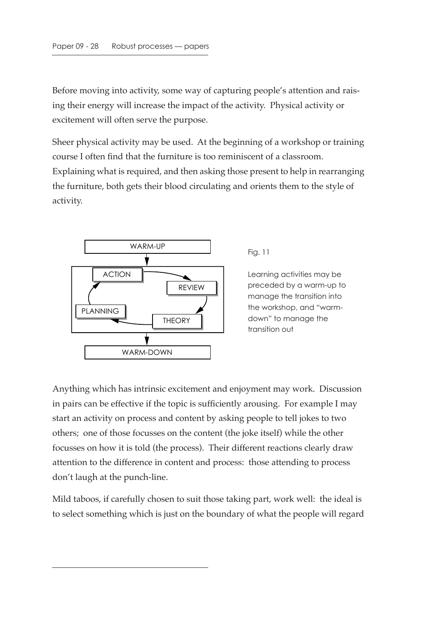Before moving into activity, some way of capturing people's attention and raising their energy will increase the impact of the activity. Physical activity or excitement will often serve the purpose.

Sheer physical activity may be used. At the beginning of a workshop or training course I often find that the furniture is too reminiscent of a classroom. Explaining what is required, and then asking those present to help in rearranging the furniture, both gets their blood circulating and orients them to the style of activity.



Fig. 11

Learning activities may be preceded by a warm-up to manage the transition into the workshop, and "warmdown" to manage the transition out

Anything which has intrinsic excitement and enjoyment may work. Discussion in pairs can be effective if the topic is sufficiently arousing. For example I may start an activity on process and content by asking people to tell jokes to two others; one of those focusses on the content (the joke itself) while the other focusses on how it is told (the process). Their different reactions clearly draw attention to the difference in content and process: those attending to process don't laugh at the punch-line.

Mild taboos, if carefully chosen to suit those taking part, work well: the ideal is to select something which is just on the boundary of what the people will regard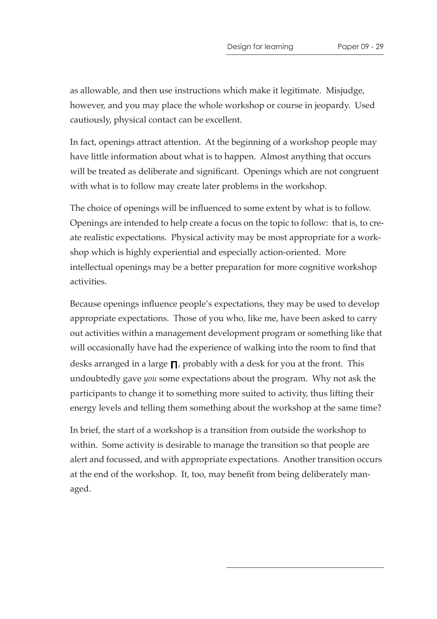as allowable, and then use instructions which make it legitimate. Misjudge, however, and you may place the whole workshop or course in jeopardy. Used cautiously, physical contact can be excellent.

In fact, openings attract attention. At the beginning of a workshop people may have little information about what is to happen. Almost anything that occurs will be treated as deliberate and significant. Openings which are not congruent with what is to follow may create later problems in the workshop.

The choice of openings will be influenced to some extent by what is to follow. Openings are intended to help create a focus on the topic to follow: that is, to create realistic expectations. Physical activity may be most appropriate for a workshop which is highly experiential and especially action-oriented. More intellectual openings may be a better preparation for more cognitive workshop activities.

Because openings influence people's expectations, they may be used to develop appropriate expectations. Those of you who, like me, have been asked to carry out activities within a management development program or something like that will occasionally have had the experience of walking into the room to find that desks arranged in a large  $\blacksquare$ , probably with a desk for you at the front. This undoubtedly gave *you* some expectations about the program. Why not ask the participants to change it to something more suited to activity, thus lifting their energy levels and telling them something about the workshop at the same time?

In brief, the start of a workshop is a transition from outside the workshop to within. Some activity is desirable to manage the transition so that people are alert and focussed, and with appropriate expectations. Another transition occurs at the end of the workshop. It, too, may benefit from being deliberately managed.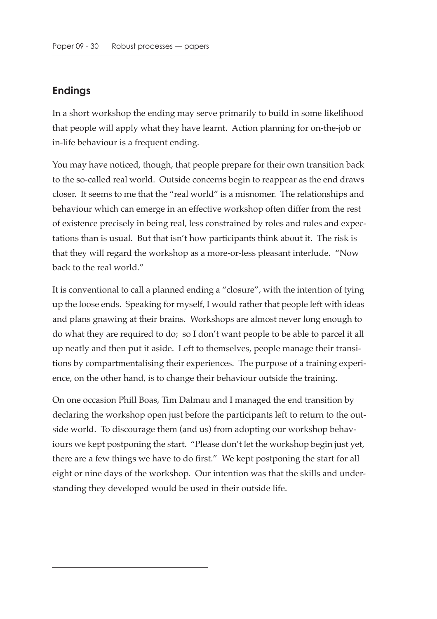#### **Endings**

In a short workshop the ending may serve primarily to build in some likelihood that people will apply what they have learnt. Action planning for on-the-job or in-life behaviour is a frequent ending.

You may have noticed, though, that people prepare for their own transition back to the so-called real world. Outside concerns begin to reappear as the end draws closer. It seems to me that the "real world" is a misnomer. The relationships and behaviour which can emerge in an effective workshop often differ from the rest of existence precisely in being real, less constrained by roles and rules and expectations than is usual. But that isn't how participants think about it. The risk is that they will regard the workshop as a more-or-less pleasant interlude. "Now back to the real world."

It is conventional to call a planned ending a "closure", with the intention of tying up the loose ends. Speaking for myself, I would rather that people left with ideas and plans gnawing at their brains. Workshops are almost never long enough to do what they are required to do; so I don't want people to be able to parcel it all up neatly and then put it aside. Left to themselves, people manage their transitions by compartmentalising their experiences. The purpose of a training experience, on the other hand, is to change their behaviour outside the training.

On one occasion Phill Boas, Tim Dalmau and I managed the end transition by declaring the workshop open just before the participants left to return to the outside world. To discourage them (and us) from adopting our workshop behaviours we kept postponing the start. "Please don't let the workshop begin just yet, there are a few things we have to do first." We kept postponing the start for all eight or nine days of the workshop. Our intention was that the skills and understanding they developed would be used in their outside life.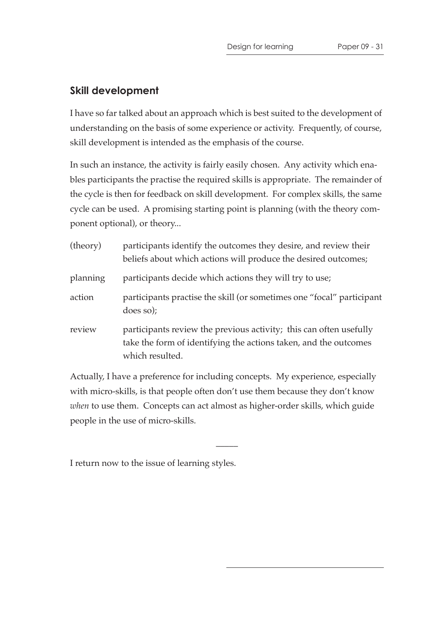### **Skill development**

I have so far talked about an approach which is best suited to the development of understanding on the basis of some experience or activity. Frequently, of course, skill development is intended as the emphasis of the course.

In such an instance, the activity is fairly easily chosen. Any activity which enables participants the practise the required skills is appropriate. The remainder of the cycle is then for feedback on skill development. For complex skills, the same cycle can be used. A promising starting point is planning (with the theory component optional), or theory...

| (theory) | participants identify the outcomes they desire, and review their<br>beliefs about which actions will produce the desired outcomes;                        |
|----------|-----------------------------------------------------------------------------------------------------------------------------------------------------------|
| planning | participants decide which actions they will try to use;                                                                                                   |
| action   | participants practise the skill (or sometimes one "focal" participant<br>does so);                                                                        |
| review   | participants review the previous activity; this can often usefully<br>take the form of identifying the actions taken, and the outcomes<br>which resulted. |

Actually, I have a preference for including concepts. My experience, especially with micro-skills, is that people often don't use them because they don't know *when* to use them. Concepts can act almost as higher-order skills, which guide people in the use of micro-skills.

 $\overline{\phantom{a}}$ 

I return now to the issue of learning styles.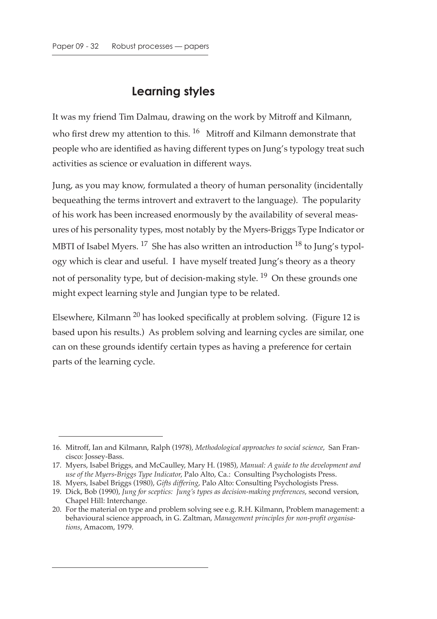### **Learning styles**

It was my friend Tim Dalmau, drawing on the work by Mitroff and Kilmann, who first drew my attention to this.  $16$  Mitroff and Kilmann demonstrate that people who are identified as having different types on Jung's typology treat such activities as science or evaluation in different ways.

Jung, as you may know, formulated a theory of human personality (incidentally bequeathing the terms introvert and extravert to the language). The popularity of his work has been increased enormously by the availability of several measures of his personality types, most notably by the Myers-Briggs Type Indicator or MBTI of Isabel Myers. <sup>17</sup> She has also written an introduction  $^{18}$  to Jung's typology which is clear and useful. I have myself treated Jung's theory as a theory not of personality type, but of decision-making style.  $19$  On these grounds one might expect learning style and Jungian type to be related.

Elsewhere, Kilmann 20 has looked specifically at problem solving. (Figure 12 is based upon his results.) As problem solving and learning cycles are similar, one can on these grounds identify certain types as having a preference for certain parts of the learning cycle.

<sup>16.</sup> Mitroff, Ian and Kilmann, Ralph (1978), *Methodological approaches to social science*, San Francisco: Jossey-Bass.

<sup>17.</sup> Myers, Isabel Briggs, and McCaulley, Mary H. (1985), *Manual: A guide to the development and use of the Myers-Briggs Type Indicator*, Palo Alto, Ca.: Consulting Psychologists Press.

<sup>18.</sup> Myers, Isabel Briggs (1980), *Gifts differing*, Palo Alto: Consulting Psychologists Press.

<sup>19.</sup> Dick, Bob (1990), *Jung for sceptics: Jung's types as decision-making preferences*, second version, Chapel Hill: Interchange.

<sup>20.</sup> For the material on type and problem solving see e.g. R.H. Kilmann, Problem management: a behavioural science approach, in G. Zaltman, *Management principles for non-profit organisations*, Amacom, 1979.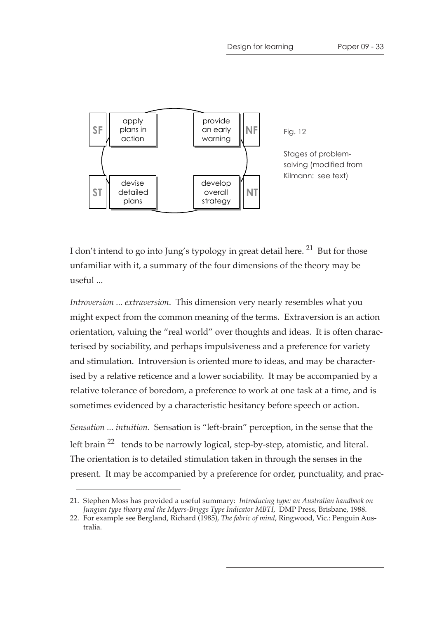

I don't intend to go into Jung's typology in great detail here. <sup>21</sup> But for those unfamiliar with it, a summary of the four dimensions of the theory may be  $useful...$ 

*Introversion ... extraversion*. This dimension very nearly resembles what you might expect from the common meaning of the terms. Extraversion is an action orientation, valuing the "real world" over thoughts and ideas. It is often characterised by sociability, and perhaps impulsiveness and a preference for variety and stimulation. Introversion is oriented more to ideas, and may be characterised by a relative reticence and a lower sociability. It may be accompanied by a relative tolerance of boredom, a preference to work at one task at a time, and is sometimes evidenced by a characteristic hesitancy before speech or action.

*Sensation ... intuition*. Sensation is "left-brain" perception, in the sense that the left brain  $^{22}$  tends to be narrowly logical, step-by-step, atomistic, and literal. The orientation is to detailed stimulation taken in through the senses in the present. It may be accompanied by a preference for order, punctuality, and prac-

<sup>21.</sup> Stephen Moss has provided a useful summary: *Introducing type: an Australian handbook on Jungian type theory and the Myers-Briggs Type Indicator MBTI*, DMP Press, Brisbane, 1988.

<sup>22.</sup> For example see Bergland, Richard (1985), *The fabric of mind*, Ringwood, Vic.: Penguin Australia.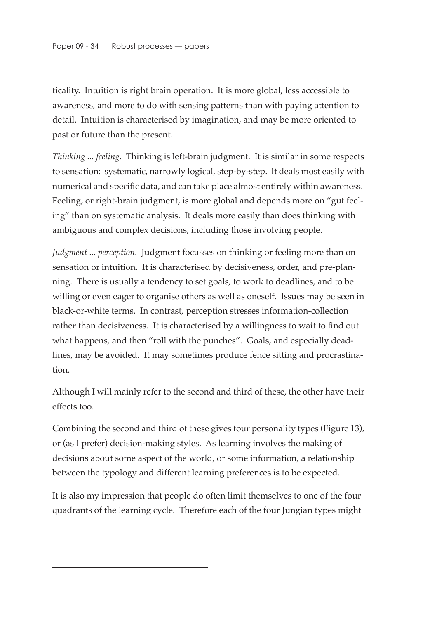ticality. Intuition is right brain operation. It is more global, less accessible to awareness, and more to do with sensing patterns than with paying attention to detail. Intuition is characterised by imagination, and may be more oriented to past or future than the present.

*Thinking ... feeling*. Thinking is left-brain judgment. It is similar in some respects to sensation: systematic, narrowly logical, step-by-step. It deals most easily with numerical and specific data, and can take place almost entirely within awareness. Feeling, or right-brain judgment, is more global and depends more on "gut feeling" than on systematic analysis. It deals more easily than does thinking with ambiguous and complex decisions, including those involving people.

*Judgment ... perception*. Judgment focusses on thinking or feeling more than on sensation or intuition. It is characterised by decisiveness, order, and pre-planning. There is usually a tendency to set goals, to work to deadlines, and to be willing or even eager to organise others as well as oneself. Issues may be seen in black-or-white terms. In contrast, perception stresses information-collection rather than decisiveness. It is characterised by a willingness to wait to find out what happens, and then "roll with the punches". Goals, and especially deadlines, may be avoided. It may sometimes produce fence sitting and procrastination.

Although I will mainly refer to the second and third of these, the other have their effects too.

Combining the second and third of these gives four personality types (Figure 13), or (as I prefer) decision-making styles. As learning involves the making of decisions about some aspect of the world, or some information, a relationship between the typology and different learning preferences is to be expected.

It is also my impression that people do often limit themselves to one of the four quadrants of the learning cycle. Therefore each of the four Jungian types might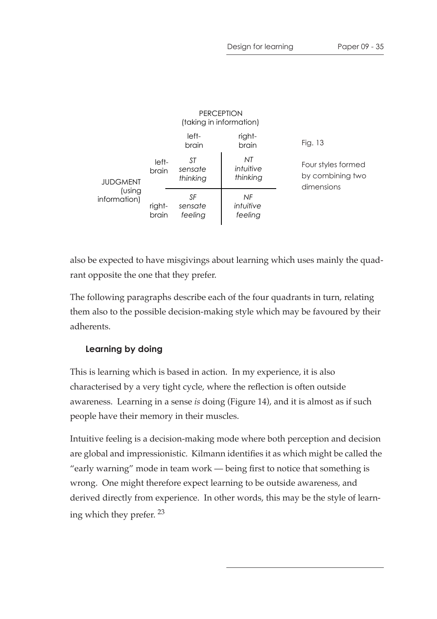

also be expected to have misgivings about learning which uses mainly the quadrant opposite the one that they prefer.

The following paragraphs describe each of the four quadrants in turn, relating them also to the possible decision-making style which may be favoured by their adherents.

#### **Learning by doing**

This is learning which is based in action. In my experience, it is also characterised by a very tight cycle, where the reflection is often outside awareness. Learning in a sense *is* doing (Figure 14), and it is almost as if such people have their memory in their muscles.

Intuitive feeling is a decision-making mode where both perception and decision are global and impressionistic. Kilmann identifies it as which might be called the "early warning" mode in team work — being first to notice that something is wrong. One might therefore expect learning to be outside awareness, and derived directly from experience. In other words, this may be the style of learning which they prefer. 23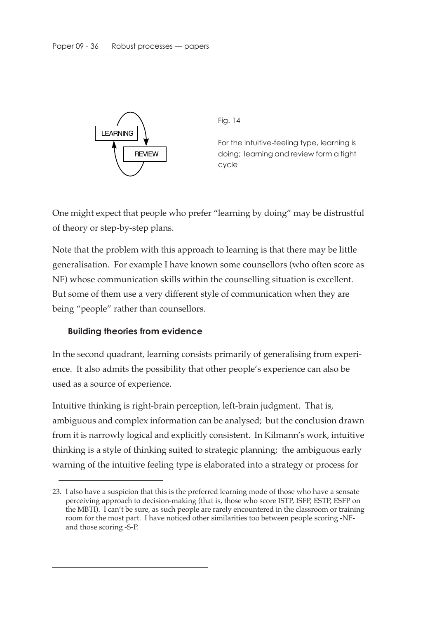

Fig. 14

For the intuitive-feeling type, learning is doing; learning and review form a tight cycle

One might expect that people who prefer "learning by doing" may be distrustful of theory or step-by-step plans.

Note that the problem with this approach to learning is that there may be little generalisation. For example I have known some counsellors (who often score as NF) whose communication skills within the counselling situation is excellent. But some of them use a very different style of communication when they are being "people" rather than counsellors.

#### **Building theories from evidence**

In the second quadrant, learning consists primarily of generalising from experience. It also admits the possibility that other people's experience can also be used as a source of experience.

Intuitive thinking is right-brain perception, left-brain judgment. That is, ambiguous and complex information can be analysed; but the conclusion drawn from it is narrowly logical and explicitly consistent. In Kilmann's work, intuitive thinking is a style of thinking suited to strategic planning; the ambiguous early warning of the intuitive feeling type is elaborated into a strategy or process for

<sup>23.</sup> I also have a suspicion that this is the preferred learning mode of those who have a sensate perceiving approach to decision-making (that is, those who score ISTP, ISFP, ESTP, ESFP on the MBTI). I can't be sure, as such people are rarely encountered in the classroom or training room for the most part. I have noticed other similarities too between people scoring -NFand those scoring -S-P.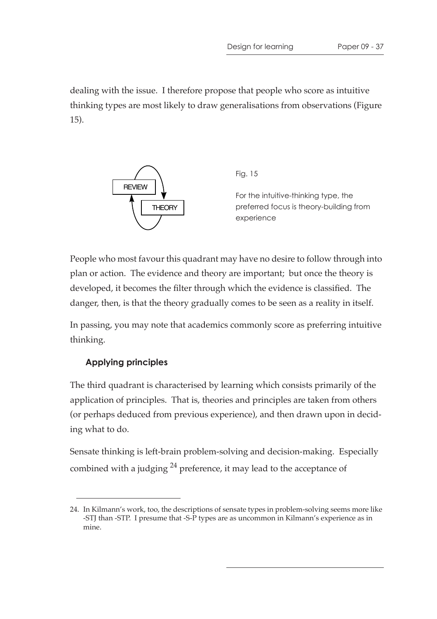dealing with the issue. I therefore propose that people who score as intuitive thinking types are most likely to draw generalisations from observations (Figure 15).



People who most favour this quadrant may have no desire to follow through into plan or action. The evidence and theory are important; but once the theory is developed, it becomes the filter through which the evidence is classified. The danger, then, is that the theory gradually comes to be seen as a reality in itself.

In passing, you may note that academics commonly score as preferring intuitive thinking.

## **Applying principles**

The third quadrant is characterised by learning which consists primarily of the application of principles. That is, theories and principles are taken from others (or perhaps deduced from previous experience), and then drawn upon in deciding what to do.

Sensate thinking is left-brain problem-solving and decision-making. Especially combined with a judging  $^{24}$  preference, it may lead to the acceptance of

<sup>24.</sup> In Kilmann's work, too, the descriptions of sensate types in problem-solving seems more like -STJ than -STP. I presume that -S-P types are as uncommon in Kilmann's experience as in mine.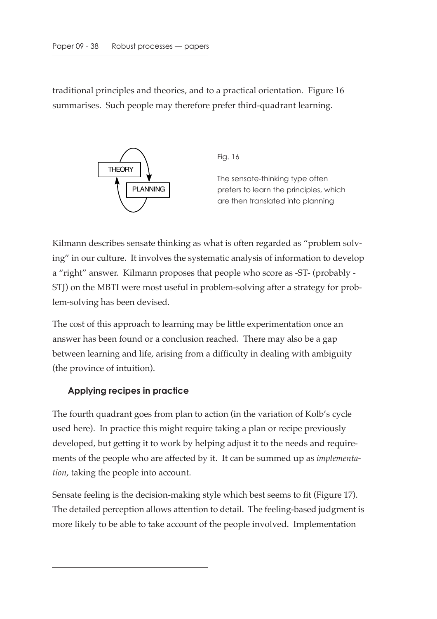traditional principles and theories, and to a practical orientation. Figure 16 summarises. Such people may therefore prefer third-quadrant learning.



Kilmann describes sensate thinking as what is often regarded as "problem solving" in our culture. It involves the systematic analysis of information to develop a "right" answer. Kilmann proposes that people who score as -ST- (probably - STJ) on the MBTI were most useful in problem-solving after a strategy for problem-solving has been devised.

The cost of this approach to learning may be little experimentation once an answer has been found or a conclusion reached. There may also be a gap between learning and life, arising from a difficulty in dealing with ambiguity (the province of intuition).

## **Applying recipes in practice**

The fourth quadrant goes from plan to action (in the variation of Kolb's cycle used here). In practice this might require taking a plan or recipe previously developed, but getting it to work by helping adjust it to the needs and requirements of the people who are affected by it. It can be summed up as *implementation*, taking the people into account.

Sensate feeling is the decision-making style which best seems to fit (Figure 17). The detailed perception allows attention to detail. The feeling-based judgment is more likely to be able to take account of the people involved. Implementation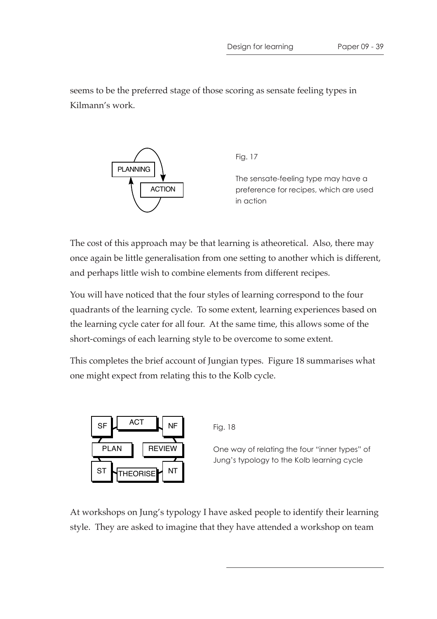seems to be the preferred stage of those scoring as sensate feeling types in Kilmann's work.



The cost of this approach may be that learning is atheoretical. Also, there may once again be little generalisation from one setting to another which is different, and perhaps little wish to combine elements from different recipes.

You will have noticed that the four styles of learning correspond to the four quadrants of the learning cycle. To some extent, learning experiences based on the learning cycle cater for all four. At the same time, this allows some of the short-comings of each learning style to be overcome to some extent.

This completes the brief account of Jungian types. Figure 18 summarises what one might expect from relating this to the Kolb cycle.



Fig. 18

One way of relating the four "inner types" of Jung's typology to the Kolb learning cycle

At workshops on Jung's typology I have asked people to identify their learning style. They are asked to imagine that they have attended a workshop on team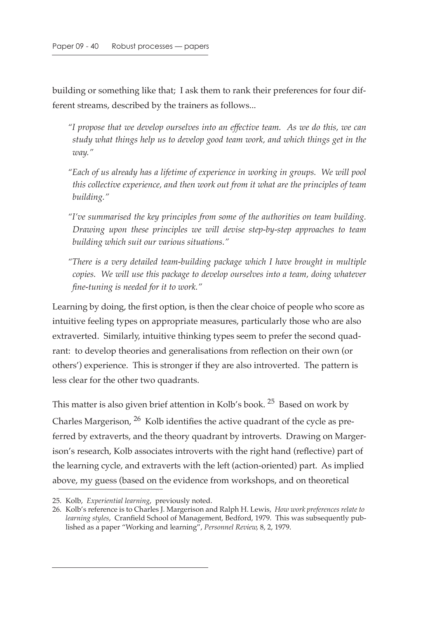building or something like that; I ask them to rank their preferences for four different streams, described by the trainers as follows...

- *"I propose that we develop ourselves into an effective team. As we do this, we can study what things help us to develop good team work, and which things get in the way."*
- *"Each of us already has a lifetime of experience in working in groups. We will pool this collective experience, and then work out from it what are the principles of team building."*
- *"I've summarised the key principles from some of the authorities on team building. Drawing upon these principles we will devise step-by-step approaches to team building which suit our various situations."*
- *"There is a very detailed team-building package which I have brought in multiple copies. We will use this package to develop ourselves into a team, doing whatever fine-tuning is needed for it to work."*

Learning by doing, the first option, is then the clear choice of people who score as intuitive feeling types on appropriate measures, particularly those who are also extraverted. Similarly, intuitive thinking types seem to prefer the second quadrant: to develop theories and generalisations from reflection on their own (or others') experience. This is stronger if they are also introverted. The pattern is less clear for the other two quadrants.

This matter is also given brief attention in Kolb's book.<sup>25</sup> Based on work by Charles Margerison, 26 Kolb identifies the active quadrant of the cycle as preferred by extraverts, and the theory quadrant by introverts. Drawing on Margerison's research, Kolb associates introverts with the right hand (reflective) part of the learning cycle, and extraverts with the left (action-oriented) part. As implied above, my guess (based on the evidence from workshops, and on theoretical

<sup>25.</sup> Kolb, *Experiential learning*, previously noted.

<sup>26.</sup> Kolb's reference is to Charles J. Margerison and Ralph H. Lewis, *How work preferences relate to learning styles*, Cranfield School of Management, Bedford, 1979. This was subsequently published as a paper "Working and learning", *Personnel Review*, 8, 2, 1979.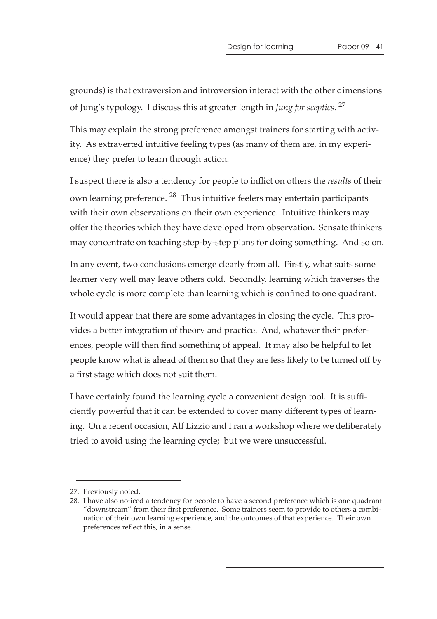grounds) is that extraversion and introversion interact with the other dimensions of Jung's typology. I discuss this at greater length in *Jung for sceptics*. 27

This may explain the strong preference amongst trainers for starting with activity. As extraverted intuitive feeling types (as many of them are, in my experience) they prefer to learn through action.

I suspect there is also a tendency for people to inflict on others the *results* of their own learning preference. 28 Thus intuitive feelers may entertain participants with their own observations on their own experience. Intuitive thinkers may offer the theories which they have developed from observation. Sensate thinkers may concentrate on teaching step-by-step plans for doing something. And so on.

In any event, two conclusions emerge clearly from all. Firstly, what suits some learner very well may leave others cold. Secondly, learning which traverses the whole cycle is more complete than learning which is confined to one quadrant.

It would appear that there are some advantages in closing the cycle. This provides a better integration of theory and practice. And, whatever their preferences, people will then find something of appeal. It may also be helpful to let people know what is ahead of them so that they are less likely to be turned off by a first stage which does not suit them.

I have certainly found the learning cycle a convenient design tool. It is sufficiently powerful that it can be extended to cover many different types of learning. On a recent occasion, Alf Lizzio and I ran a workshop where we deliberately tried to avoid using the learning cycle; but we were unsuccessful.

<sup>27.</sup> Previously noted.

<sup>28.</sup> I have also noticed a tendency for people to have a second preference which is one quadrant "downstream" from their first preference. Some trainers seem to provide to others a combination of their own learning experience, and the outcomes of that experience. Their own preferences reflect this, in a sense.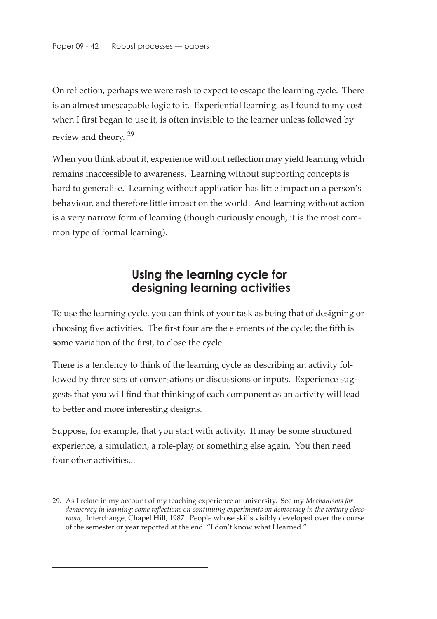On reflection, perhaps we were rash to expect to escape the learning cycle. There is an almost unescapable logic to it. Experiential learning, as I found to my cost when I first began to use it, is often invisible to the learner unless followed by review and theory. 29

When you think about it, experience without reflection may yield learning which remains inaccessible to awareness. Learning without supporting concepts is hard to generalise. Learning without application has little impact on a person's behaviour, and therefore little impact on the world. And learning without action is a very narrow form of learning (though curiously enough, it is the most common type of formal learning).

# **Using the learning cycle for designing learning activities**

To use the learning cycle, you can think of your task as being that of designing or choosing five activities. The first four are the elements of the cycle; the fifth is some variation of the first, to close the cycle.

There is a tendency to think of the learning cycle as describing an activity followed by three sets of conversations or discussions or inputs. Experience suggests that you will find that thinking of each component as an activity will lead to better and more interesting designs.

Suppose, for example, that you start with activity. It may be some structured experience, a simulation, a role-play, or something else again. You then need four other activities...

<sup>29.</sup> As I relate in my account of my teaching experience at university. See my *Mechanisms for democracy in learning: some reflections on continuing experiments on democracy in the tertiary classroom*, Interchange, Chapel Hill, 1987. People whose skills visibly developed over the course of the semester or year reported at the end "I don't know what I learned."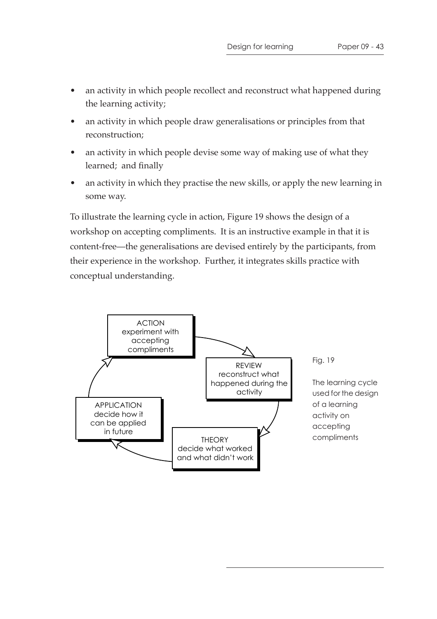- an activity in which people recollect and reconstruct what happened during the learning activity;
- an activity in which people draw generalisations or principles from that reconstruction;
- an activity in which people devise some way of making use of what they learned; and finally
- an activity in which they practise the new skills, or apply the new learning in some way.

To illustrate the learning cycle in action, Figure 19 shows the design of a workshop on accepting compliments. It is an instructive example in that it is content-free—the generalisations are devised entirely by the participants, from their experience in the workshop. Further, it integrates skills practice with conceptual understanding.



The learning cycle used for the design of a learning activity on accepting compliments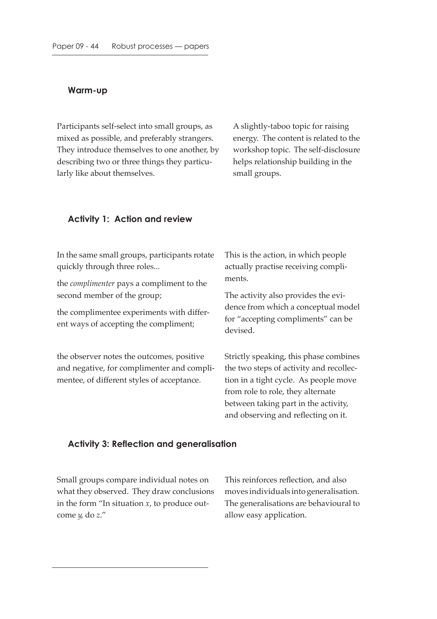#### **Warm-up**

Participants self-select into small groups, as mixed as possible, and preferably strangers. They introduce themselves to one another, by describing two or three things they particularly like about themselves.

A slightly-taboo topic for raising energy. The content is related to the workshop topic. The self-disclosure helps relationship building in the small groups.

#### **Activity 1: Action and review**

| In the same small groups, participants rotate<br>quickly through three roles<br>the <i>complimenter</i> pays a compliment to the<br>second member of the group;<br>the complimentee experiments with differ-<br>ent ways of accepting the compliment; | This is the action, in which people<br>actually practise receiving compli-<br>ments.<br>The activity also provides the evi-<br>dence from which a conceptual model<br>for "accepting compliments" can be<br>devised.                           |
|-------------------------------------------------------------------------------------------------------------------------------------------------------------------------------------------------------------------------------------------------------|------------------------------------------------------------------------------------------------------------------------------------------------------------------------------------------------------------------------------------------------|
| the observer notes the outcomes, positive<br>and negative, for complimenter and compli-<br>mentee, of different styles of acceptance.                                                                                                                 | Strictly speaking, this phase combines<br>the two steps of activity and recollec-<br>tion in a tight cycle. As people move<br>from role to role, they alternate<br>between taking part in the activity,<br>and observing and reflecting on it. |

#### **Activity 3: Reflection and generalisation**

Small groups compare individual notes on what they observed. They draw conclusions in the form "In situation *x*, to produce outcome *y*, do *z*."

This reinforces reflection, and also moves individuals into generalisation. The generalisations are behavioural to allow easy application.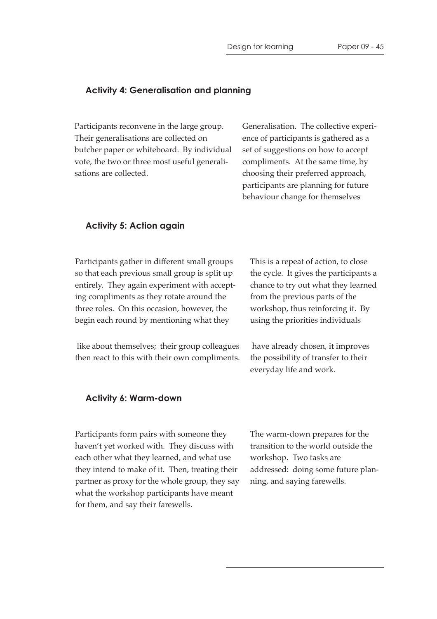#### **Activity 4: Generalisation and planning**

Participants reconvene in the large group. Their generalisations are collected on butcher paper or whiteboard. By individual vote, the two or three most useful generalisations are collected.

Generalisation. The collective experience of participants is gathered as a set of suggestions on how to accept compliments. At the same time, by choosing their preferred approach, participants are planning for future behaviour change for themselves

#### **Activity 5: Action again**

Participants gather in different small groups so that each previous small group is split up entirely. They again experiment with accepting compliments as they rotate around the three roles. On this occasion, however, the begin each round by mentioning what they

 like about themselves; their group colleagues then react to this with their own compliments. This is a repeat of action, to close the cycle. It gives the participants a chance to try out what they learned from the previous parts of the workshop, thus reinforcing it. By using the priorities individuals

 have already chosen, it improves the possibility of transfer to their everyday life and work.

#### **Activity 6: Warm-down**

Participants form pairs with someone they haven't yet worked with. They discuss with each other what they learned, and what use they intend to make of it. Then, treating their partner as proxy for the whole group, they say what the workshop participants have meant for them, and say their farewells.

The warm-down prepares for the transition to the world outside the workshop. Two tasks are addressed: doing some future planning, and saying farewells.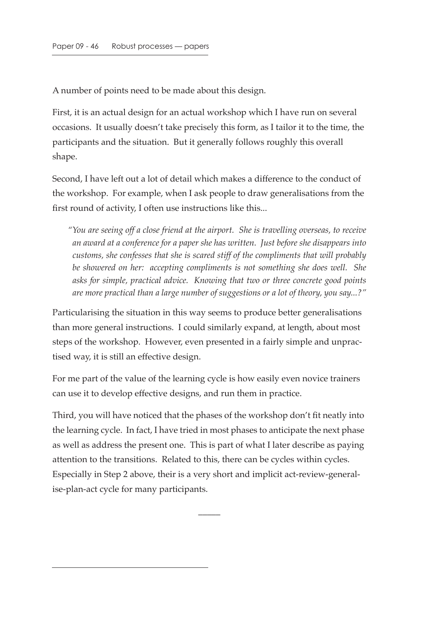A number of points need to be made about this design.

First, it is an actual design for an actual workshop which I have run on several occasions. It usually doesn't take precisely this form, as I tailor it to the time, the participants and the situation. But it generally follows roughly this overall shape.

Second, I have left out a lot of detail which makes a difference to the conduct of the workshop. For example, when I ask people to draw generalisations from the first round of activity, I often use instructions like this...

*"You are seeing off a close friend at the airport. She is travelling overseas, to receive an award at a conference for a paper she has written. Just before she disappears into customs, she confesses that she is scared stiff of the compliments that will probably be showered on her: accepting compliments is not something she does well. She asks for simple, practical advice. Knowing that two or three concrete good points are more practical than a large number of suggestions or a lot of theory, you say...?"*

Particularising the situation in this way seems to produce better generalisations than more general instructions. I could similarly expand, at length, about most steps of the workshop. However, even presented in a fairly simple and unpractised way, it is still an effective design.

For me part of the value of the learning cycle is how easily even novice trainers can use it to develop effective designs, and run them in practice.

Third, you will have noticed that the phases of the workshop don't fit neatly into the learning cycle. In fact, I have tried in most phases to anticipate the next phase as well as address the present one. This is part of what I later describe as paying attention to the transitions. Related to this, there can be cycles within cycles. Especially in Step 2 above, their is a very short and implicit act-review-generalise-plan-act cycle for many participants.

 $\overline{\phantom{a}}$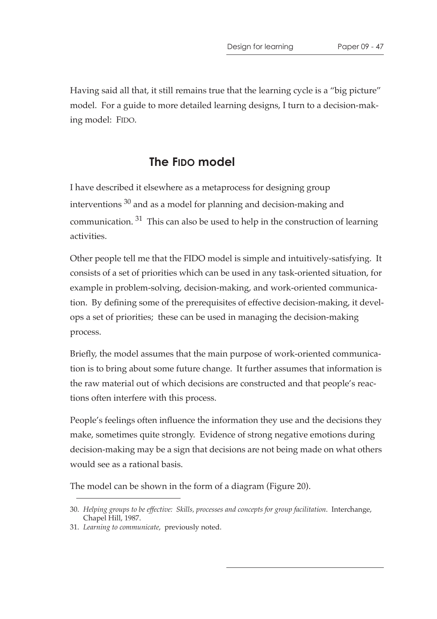Having said all that, it still remains true that the learning cycle is a "big picture" model. For a guide to more detailed learning designs, I turn to a decision-making model: FIDO.

# **The FIDO model**

I have described it elsewhere as a metaprocess for designing group interventions  $30$  and as a model for planning and decision-making and communication. 31 This can also be used to help in the construction of learning activities.

Other people tell me that the FIDO model is simple and intuitively-satisfying. It consists of a set of priorities which can be used in any task-oriented situation, for example in problem-solving, decision-making, and work-oriented communication. By defining some of the prerequisites of effective decision-making, it develops a set of priorities; these can be used in managing the decision-making process.

Briefly, the model assumes that the main purpose of work-oriented communication is to bring about some future change. It further assumes that information is the raw material out of which decisions are constructed and that people's reactions often interfere with this process.

People's feelings often influence the information they use and the decisions they make, sometimes quite strongly. Evidence of strong negative emotions during decision-making may be a sign that decisions are not being made on what others would see as a rational basis.

The model can be shown in the form of a diagram (Figure 20).

<sup>30.</sup> *Helping groups to be effective: Skills, processes and concepts for group facilitation*. Interchange, Chapel Hill, 1987.

<sup>31.</sup> *Learning to communicate*, previously noted.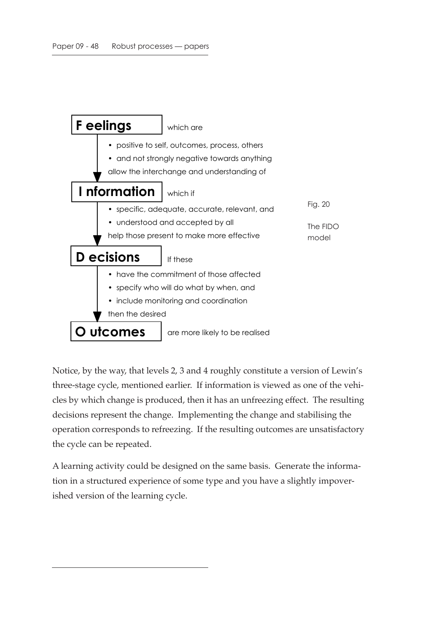

Notice, by the way, that levels 2, 3 and 4 roughly constitute a version of Lewin's three-stage cycle, mentioned earlier. If information is viewed as one of the vehicles by which change is produced, then it has an unfreezing effect. The resulting decisions represent the change. Implementing the change and stabilising the operation corresponds to refreezing. If the resulting outcomes are unsatisfactory the cycle can be repeated.

A learning activity could be designed on the same basis. Generate the information in a structured experience of some type and you have a slightly impoverished version of the learning cycle.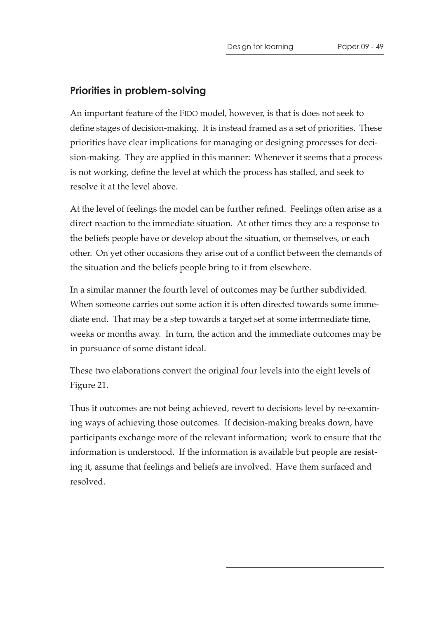## **Priorities in problem-solving**

An important feature of the FIDO model, however, is that is does not seek to define stages of decision-making. It is instead framed as a set of priorities. These priorities have clear implications for managing or designing processes for decision-making. They are applied in this manner: Whenever it seems that a process is not working, define the level at which the process has stalled, and seek to resolve it at the level above.

At the level of feelings the model can be further refined. Feelings often arise as a direct reaction to the immediate situation. At other times they are a response to the beliefs people have or develop about the situation, or themselves, or each other. On yet other occasions they arise out of a conflict between the demands of the situation and the beliefs people bring to it from elsewhere.

In a similar manner the fourth level of outcomes may be further subdivided. When someone carries out some action it is often directed towards some immediate end. That may be a step towards a target set at some intermediate time, weeks or months away. In turn, the action and the immediate outcomes may be in pursuance of some distant ideal.

These two elaborations convert the original four levels into the eight levels of Figure 21.

Thus if outcomes are not being achieved, revert to decisions level by re-examining ways of achieving those outcomes. If decision-making breaks down, have participants exchange more of the relevant information; work to ensure that the information is understood. If the information is available but people are resisting it, assume that feelings and beliefs are involved. Have them surfaced and resolved.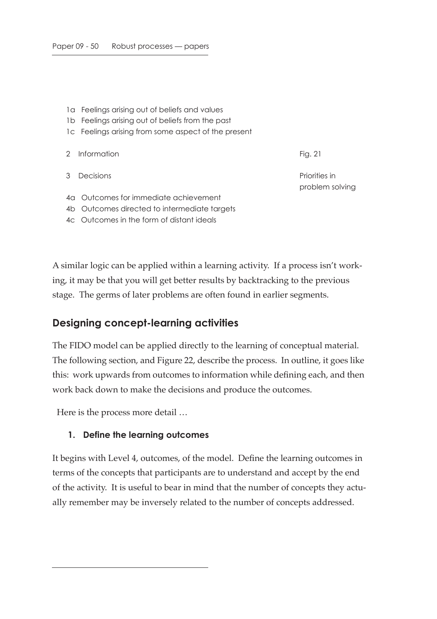- 1a Feelings arising out of beliefs and values
- 1b Feelings arising out of beliefs from the past
- 1c Feelings arising from some aspect of the present
- 2 Information

Fig. 21

3 Decisions

Priorities in problem solving

- 4a Outcomes for immediate achievement
- 4b Outcomes directed to intermediate targets
- 4c Outcomes in the form of distant ideals

A similar logic can be applied within a learning activity. If a process isn't working, it may be that you will get better results by backtracking to the previous stage. The germs of later problems are often found in earlier segments.

## **Designing concept-learning activities**

The FIDO model can be applied directly to the learning of conceptual material. The following section, and Figure 22, describe the process. In outline, it goes like this: work upwards from outcomes to information while defining each, and then work back down to make the decisions and produce the outcomes.

Here is the process more detail …

#### **1. Define the learning outcomes**

It begins with Level 4, outcomes, of the model. Define the learning outcomes in terms of the concepts that participants are to understand and accept by the end of the activity. It is useful to bear in mind that the number of concepts they actually remember may be inversely related to the number of concepts addressed.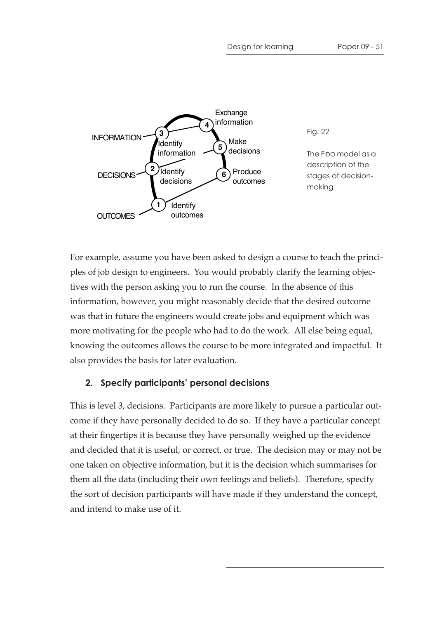

For example, assume you have been asked to design a course to teach the principles of job design to engineers. You would probably clarify the learning objectives with the person asking you to run the course. In the absence of this information, however, you might reasonably decide that the desired outcome was that in future the engineers would create jobs and equipment which was more motivating for the people who had to do the work. All else being equal, knowing the outcomes allows the course to be more integrated and impactful. It also provides the basis for later evaluation.

#### **2. Specify participants' personal decisions**

This is level 3, decisions. Participants are more likely to pursue a particular outcome if they have personally decided to do so. If they have a particular concept at their fingertips it is because they have personally weighed up the evidence and decided that it is useful, or correct, or true. The decision may or may not be one taken on objective information, but it is the decision which summarises for them all the data (including their own feelings and beliefs). Therefore, specify the sort of decision participants will have made if they understand the concept, and intend to make use of it.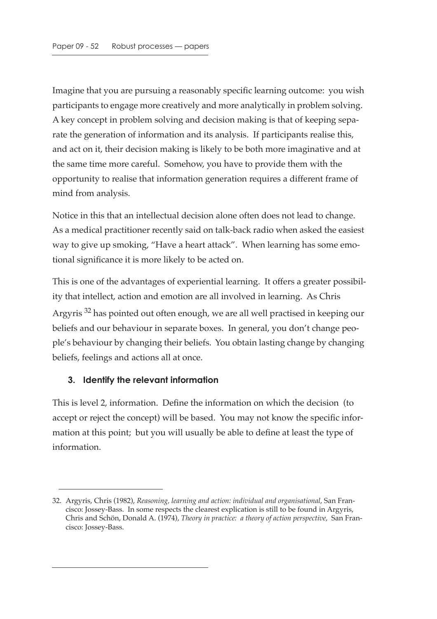Imagine that you are pursuing a reasonably specific learning outcome: you wish participants to engage more creatively and more analytically in problem solving. A key concept in problem solving and decision making is that of keeping separate the generation of information and its analysis. If participants realise this, and act on it, their decision making is likely to be both more imaginative and at the same time more careful. Somehow, you have to provide them with the opportunity to realise that information generation requires a different frame of mind from analysis.

Notice in this that an intellectual decision alone often does not lead to change. As a medical practitioner recently said on talk-back radio when asked the easiest way to give up smoking, "Have a heart attack". When learning has some emotional significance it is more likely to be acted on.

This is one of the advantages of experiential learning. It offers a greater possibility that intellect, action and emotion are all involved in learning. As Chris Argyris<sup>32</sup> has pointed out often enough, we are all well practised in keeping our beliefs and our behaviour in separate boxes. In general, you don't change people's behaviour by changing their beliefs. You obtain lasting change by changing beliefs, feelings and actions all at once.

#### **3. Identify the relevant information**

This is level 2, information. Define the information on which the decision (to accept or reject the concept) will be based. You may not know the specific information at this point; but you will usually be able to define at least the type of information.

<sup>32.</sup> Argyris, Chris (1982), *Reasoning, learning and action: individual and organisational*, San Francisco: Jossey-Bass. In some respects the clearest explication is still to be found in Argyris, Chris and Schön, Donald A. (1974), *Theory in practice: a theory of action perspective*, San Francisco: Jossey-Bass.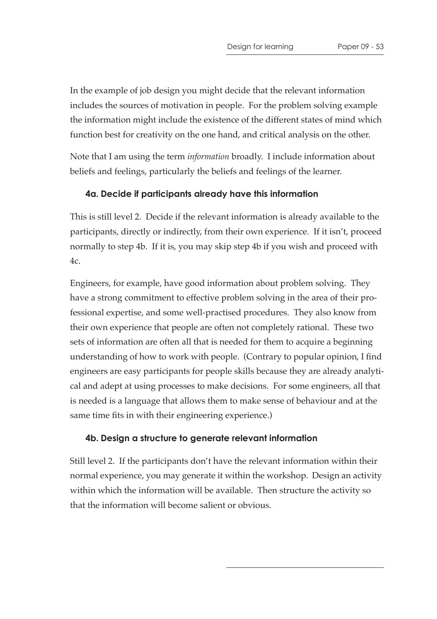In the example of job design you might decide that the relevant information includes the sources of motivation in people. For the problem solving example the information might include the existence of the different states of mind which function best for creativity on the one hand, and critical analysis on the other.

Note that I am using the term *information* broadly. I include information about beliefs and feelings, particularly the beliefs and feelings of the learner.

#### **4a. Decide if participants already have this information**

This is still level 2. Decide if the relevant information is already available to the participants, directly or indirectly, from their own experience. If it isn't, proceed normally to step 4b. If it is, you may skip step 4b if you wish and proceed with 4c.

Engineers, for example, have good information about problem solving. They have a strong commitment to effective problem solving in the area of their professional expertise, and some well-practised procedures. They also know from their own experience that people are often not completely rational. These two sets of information are often all that is needed for them to acquire a beginning understanding of how to work with people. (Contrary to popular opinion, I find engineers are easy participants for people skills because they are already analytical and adept at using processes to make decisions. For some engineers, all that is needed is a language that allows them to make sense of behaviour and at the same time fits in with their engineering experience.)

#### **4b. Design a structure to generate relevant information**

Still level 2. If the participants don't have the relevant information within their normal experience, you may generate it within the workshop. Design an activity within which the information will be available. Then structure the activity so that the information will become salient or obvious.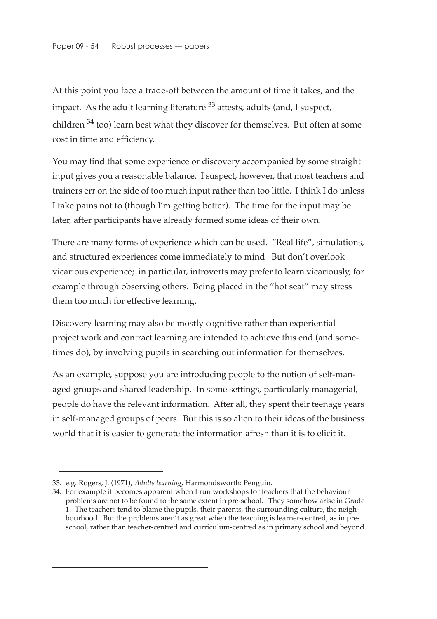At this point you face a trade-off between the amount of time it takes, and the impact. As the adult learning literature  $33$  attests, adults (and, I suspect, children  $34$  too) learn best what they discover for themselves. But often at some cost in time and efficiency.

You may find that some experience or discovery accompanied by some straight input gives you a reasonable balance. I suspect, however, that most teachers and trainers err on the side of too much input rather than too little. I think I do unless I take pains not to (though I'm getting better). The time for the input may be later, after participants have already formed some ideas of their own.

There are many forms of experience which can be used. "Real life", simulations, and structured experiences come immediately to mind But don't overlook vicarious experience; in particular, introverts may prefer to learn vicariously, for example through observing others. Being placed in the "hot seat" may stress them too much for effective learning.

Discovery learning may also be mostly cognitive rather than experiential project work and contract learning are intended to achieve this end (and sometimes do), by involving pupils in searching out information for themselves.

As an example, suppose you are introducing people to the notion of self-managed groups and shared leadership. In some settings, particularly managerial, people do have the relevant information. After all, they spent their teenage years in self-managed groups of peers. But this is so alien to their ideas of the business world that it is easier to generate the information afresh than it is to elicit it.

<sup>33.</sup> e.g. Rogers, J. (1971), *Adults learning*, Harmondsworth: Penguin.

<sup>34.</sup> For example it becomes apparent when I run workshops for teachers that the behaviour problems are not to be found to the same extent in pre-school. They somehow arise in Grade 1. The teachers tend to blame the pupils, their parents, the surrounding culture, the neighbourhood. But the problems aren't as great when the teaching is learner-centred, as in preschool, rather than teacher-centred and curriculum-centred as in primary school and beyond.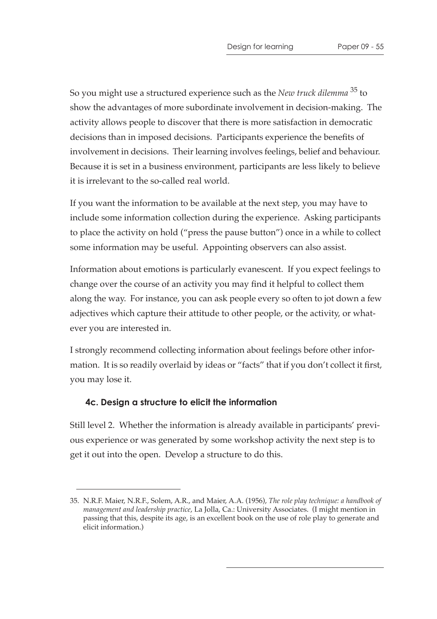So you might use a structured experience such as the *New truck dilemma* 35 to show the advantages of more subordinate involvement in decision-making. The activity allows people to discover that there is more satisfaction in democratic decisions than in imposed decisions. Participants experience the benefits of involvement in decisions. Their learning involves feelings, belief and behaviour. Because it is set in a business environment, participants are less likely to believe it is irrelevant to the so-called real world.

If you want the information to be available at the next step, you may have to include some information collection during the experience. Asking participants to place the activity on hold ("press the pause button") once in a while to collect some information may be useful. Appointing observers can also assist.

Information about emotions is particularly evanescent. If you expect feelings to change over the course of an activity you may find it helpful to collect them along the way. For instance, you can ask people every so often to jot down a few adjectives which capture their attitude to other people, or the activity, or whatever you are interested in.

I strongly recommend collecting information about feelings before other information. It is so readily overlaid by ideas or "facts" that if you don't collect it first, you may lose it.

#### **4c. Design a structure to elicit the information**

Still level 2. Whether the information is already available in participants' previous experience or was generated by some workshop activity the next step is to get it out into the open. Develop a structure to do this.

<sup>35.</sup> N.R.F. Maier, N.R.F., Solem, A.R., and Maier, A.A. (1956), *The role play technique: a handbook of management and leadership practice*, La Jolla, Ca.: University Associates. (I might mention in passing that this, despite its age, is an excellent book on the use of role play to generate and elicit information.)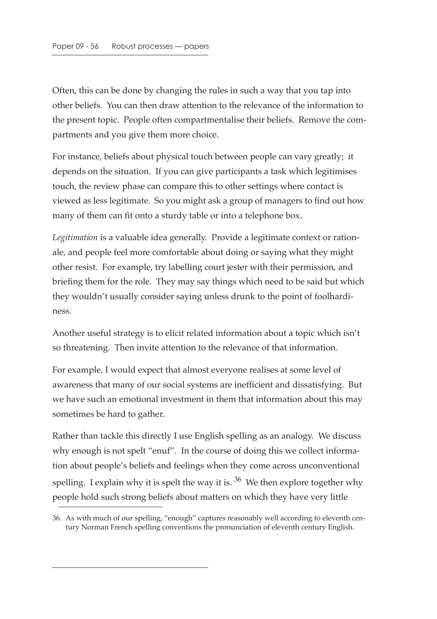Often, this can be done by changing the rules in such a way that you tap into other beliefs. You can then draw attention to the relevance of the information to the present topic. People often compartmentalise their beliefs. Remove the compartments and you give them more choice.

For instance, beliefs about physical touch between people can vary greatly; it depends on the situation. If you can give participants a task which legitimises touch, the review phase can compare this to other settings where contact is viewed as less legitimate. So you might ask a group of managers to find out how many of them can fit onto a sturdy table or into a telephone box.

*Legitimation* is a valuable idea generally. Provide a legitimate context or rationale, and people feel more comfortable about doing or saying what they might other resist. For example, try labelling court jester with their permission, and briefing them for the role. They may say things which need to be said but which they wouldn't usually consider saying unless drunk to the point of foolhardiness.

Another useful strategy is to elicit related information about a topic which isn't so threatening. Then invite attention to the relevance of that information.

For example, I would expect that almost everyone realises at some level of awareness that many of our social systems are inefficient and dissatisfying. But we have such an emotional investment in them that information about this may sometimes be hard to gather.

Rather than tackle this directly I use English spelling as an analogy. We discuss why enough is not spelt "enuf". In the course of doing this we collect information about people's beliefs and feelings when they come across unconventional spelling. I explain why it is spelt the way it is.  $36$  We then explore together why people hold such strong beliefs about matters on which they have very little

<sup>36.</sup> As with much of our spelling, "enough" captures reasonably well according to eleventh century Norman French spelling conventions the pronunciation of eleventh century English.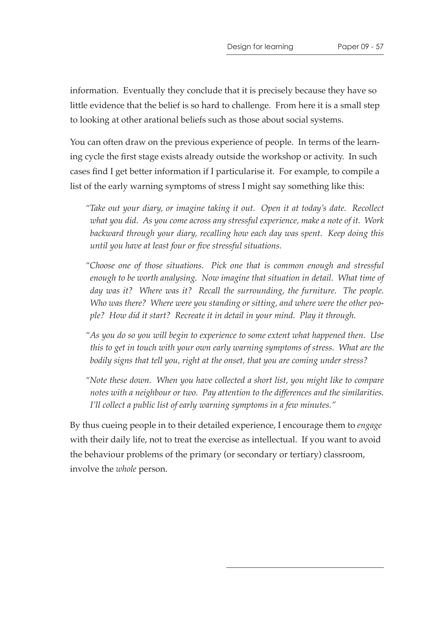information. Eventually they conclude that it is precisely because they have so little evidence that the belief is so hard to challenge. From here it is a small step to looking at other arational beliefs such as those about social systems.

You can often draw on the previous experience of people. In terms of the learning cycle the first stage exists already outside the workshop or activity. In such cases find I get better information if I particularise it. For example, to compile a list of the early warning symptoms of stress I might say something like this:

- *"Take out your diary, or imagine taking it out. Open it at today's date. Recollect what you did. As you come across any stressful experience, make a note of it. Work backward through your diary, recalling how each day was spent. Keep doing this until you have at least four or five stressful situations.*
- *"Choose one of those situations. Pick one that is common enough and stressful enough to be worth analysing. Now imagine that situation in detail. What time of day was it? Where was it? Recall the surrounding, the furniture. The people. Who was there? Where were you standing or sitting, and where were the other people? How did it start? Recreate it in detail in your mind. Play it through.*
- *"As you do so you will begin to experience to some extent what happened then. Use this to get in touch with your own early warning symptoms of stress. What are the bodily signs that tell you, right at the onset, that you are coming under stress?*
- *"Note these down. When you have collected a short list, you might like to compare notes with a neighbour or two. Pay attention to the differences and the similarities. I'll collect a public list of early warning symptoms in a few minutes."*

By thus cueing people in to their detailed experience, I encourage them to *engage* with their daily life, not to treat the exercise as intellectual. If you want to avoid the behaviour problems of the primary (or secondary or tertiary) classroom, involve the *whole* person.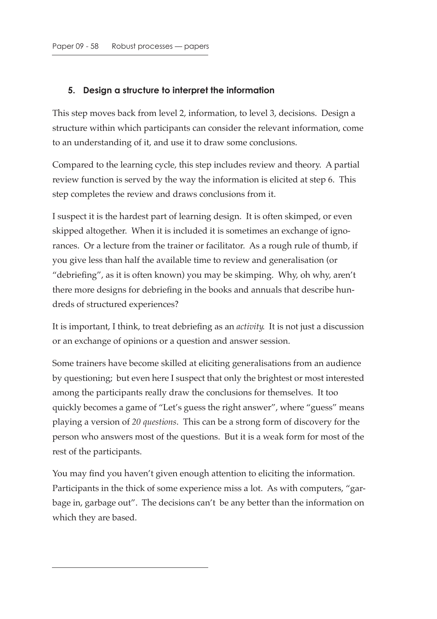### **5. Design a structure to interpret the information**

This step moves back from level 2, information, to level 3, decisions. Design a structure within which participants can consider the relevant information, come to an understanding of it, and use it to draw some conclusions.

Compared to the learning cycle, this step includes review and theory. A partial review function is served by the way the information is elicited at step 6. This step completes the review and draws conclusions from it.

I suspect it is the hardest part of learning design. It is often skimped, or even skipped altogether. When it is included it is sometimes an exchange of ignorances. Or a lecture from the trainer or facilitator. As a rough rule of thumb, if you give less than half the available time to review and generalisation (or "debriefing", as it is often known) you may be skimping. Why, oh why, aren't there more designs for debriefing in the books and annuals that describe hundreds of structured experiences?

It is important, I think, to treat debriefing as an *activity*. It is not just a discussion or an exchange of opinions or a question and answer session.

Some trainers have become skilled at eliciting generalisations from an audience by questioning; but even here I suspect that only the brightest or most interested among the participants really draw the conclusions for themselves. It too quickly becomes a game of "Let's guess the right answer", where "guess" means playing a version of *20 questions*. This can be a strong form of discovery for the person who answers most of the questions. But it is a weak form for most of the rest of the participants.

You may find you haven't given enough attention to eliciting the information. Participants in the thick of some experience miss a lot. As with computers, "garbage in, garbage out". The decisions can't be any better than the information on which they are based.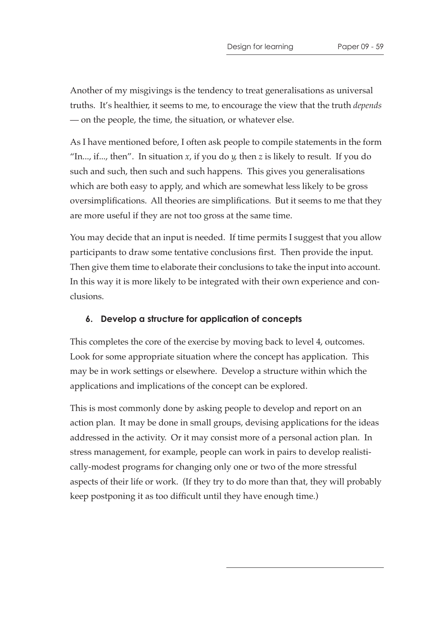Another of my misgivings is the tendency to treat generalisations as universal truths. It's healthier, it seems to me, to encourage the view that the truth *depends* — on the people, the time, the situation, or whatever else.

As I have mentioned before, I often ask people to compile statements in the form "In..., if..., then". In situation  $x$ , if you do  $y$ , then  $z$  is likely to result. If you do such and such, then such and such happens. This gives you generalisations which are both easy to apply, and which are somewhat less likely to be gross oversimplifications. All theories are simplifications. But it seems to me that they are more useful if they are not too gross at the same time.

You may decide that an input is needed. If time permits I suggest that you allow participants to draw some tentative conclusions first. Then provide the input. Then give them time to elaborate their conclusions to take the input into account. In this way it is more likely to be integrated with their own experience and conclusions.

#### **6. Develop a structure for application of concepts**

This completes the core of the exercise by moving back to level 4, outcomes. Look for some appropriate situation where the concept has application. This may be in work settings or elsewhere. Develop a structure within which the applications and implications of the concept can be explored.

This is most commonly done by asking people to develop and report on an action plan. It may be done in small groups, devising applications for the ideas addressed in the activity. Or it may consist more of a personal action plan. In stress management, for example, people can work in pairs to develop realistically-modest programs for changing only one or two of the more stressful aspects of their life or work. (If they try to do more than that, they will probably keep postponing it as too difficult until they have enough time.)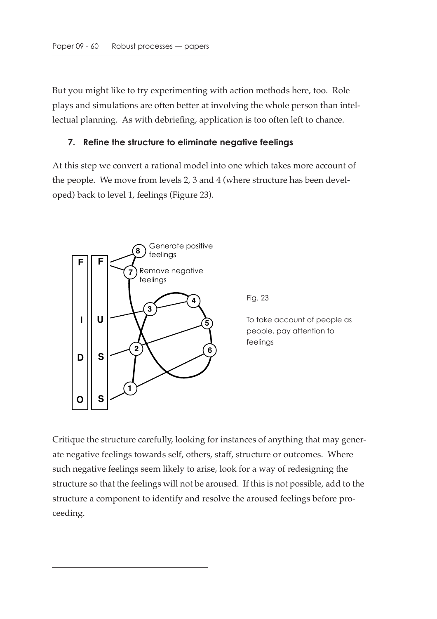But you might like to try experimenting with action methods here, too. Role plays and simulations are often better at involving the whole person than intellectual planning. As with debriefing, application is too often left to chance.

#### **7. Refine the structure to eliminate negative feelings**

At this step we convert a rational model into one which takes more account of the people. We move from levels 2, 3 and 4 (where structure has been developed) back to level 1, feelings (Figure 23).



Critique the structure carefully, looking for instances of anything that may generate negative feelings towards self, others, staff, structure or outcomes. Where such negative feelings seem likely to arise, look for a way of redesigning the structure so that the feelings will not be aroused. If this is not possible, add to the structure a component to identify and resolve the aroused feelings before proceeding.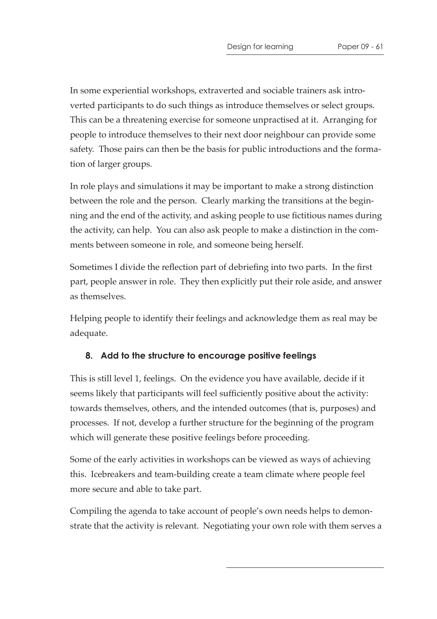In some experiential workshops, extraverted and sociable trainers ask introverted participants to do such things as introduce themselves or select groups. This can be a threatening exercise for someone unpractised at it. Arranging for people to introduce themselves to their next door neighbour can provide some safety. Those pairs can then be the basis for public introductions and the formation of larger groups.

In role plays and simulations it may be important to make a strong distinction between the role and the person. Clearly marking the transitions at the beginning and the end of the activity, and asking people to use fictitious names during the activity, can help. You can also ask people to make a distinction in the comments between someone in role, and someone being herself.

Sometimes I divide the reflection part of debriefing into two parts. In the first part, people answer in role. They then explicitly put their role aside, and answer as themselves.

Helping people to identify their feelings and acknowledge them as real may be adequate.

## **8. Add to the structure to encourage positive feelings**

This is still level 1, feelings. On the evidence you have available, decide if it seems likely that participants will feel sufficiently positive about the activity: towards themselves, others, and the intended outcomes (that is, purposes) and processes. If not, develop a further structure for the beginning of the program which will generate these positive feelings before proceeding.

Some of the early activities in workshops can be viewed as ways of achieving this. Icebreakers and team-building create a team climate where people feel more secure and able to take part.

Compiling the agenda to take account of people's own needs helps to demonstrate that the activity is relevant. Negotiating your own role with them serves a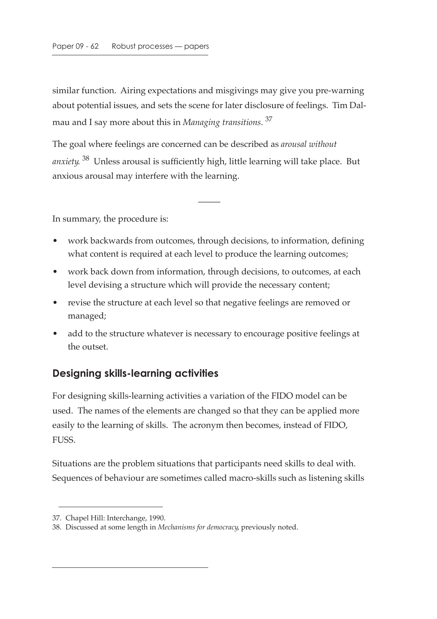similar function. Airing expectations and misgivings may give you pre-warning about potential issues, and sets the scene for later disclosure of feelings. Tim Dalmau and I say more about this in *Managing transitions*. 37

The goal where feelings are concerned can be described as *arousal without anxiety*. 38 Unless arousal is sufficiently high, little learning will take place. But anxious arousal may interfere with the learning.

In summary, the procedure is:

work backwards from outcomes, through decisions, to information, defining what content is required at each level to produce the learning outcomes;

 $\overline{\phantom{a}}$ 

- work back down from information, through decisions, to outcomes, at each level devising a structure which will provide the necessary content;
- revise the structure at each level so that negative feelings are removed or managed;
- add to the structure whatever is necessary to encourage positive feelings at the outset.

# **Designing skills-learning activities**

For designing skills-learning activities a variation of the FIDO model can be used. The names of the elements are changed so that they can be applied more easily to the learning of skills. The acronym then becomes, instead of FIDO, FUSS.

Situations are the problem situations that participants need skills to deal with. Sequences of behaviour are sometimes called macro-skills such as listening skills

<sup>37.</sup> Chapel Hill: Interchange, 1990.

<sup>38.</sup> Discussed at some length in *Mechanisms for democracy*, previously noted.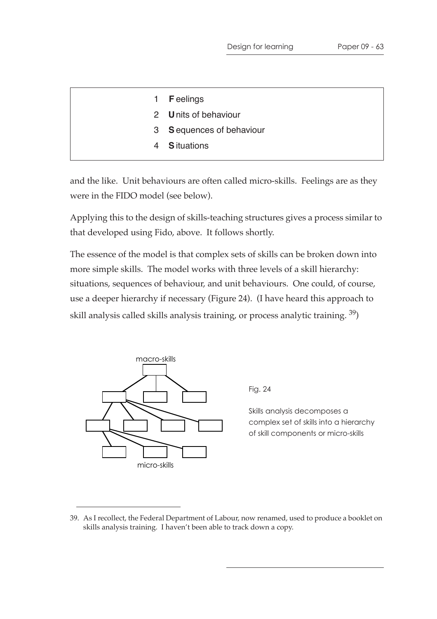| 2 <b>U</b> nits of behaviour |
|------------------------------|
| 3 Sequences of behaviour     |
| 4 <b>S</b> ituations         |

and the like. Unit behaviours are often called micro-skills. Feelings are as they were in the FIDO model (see below).

Applying this to the design of skills-teaching structures gives a process similar to that developed using Fido, above. It follows shortly.

The essence of the model is that complex sets of skills can be broken down into more simple skills. The model works with three levels of a skill hierarchy: situations, sequences of behaviour, and unit behaviours. One could, of course, use a deeper hierarchy if necessary (Figure 24). (I have heard this approach to skill analysis called skills analysis training, or process analytic training. <sup>39</sup>)



Fig. 24

Skills analysis decomposes a complex set of skills into a hierarchy of skill components or micro-skills

<sup>39.</sup> As I recollect, the Federal Department of Labour, now renamed, used to produce a booklet on skills analysis training. I haven't been able to track down a copy.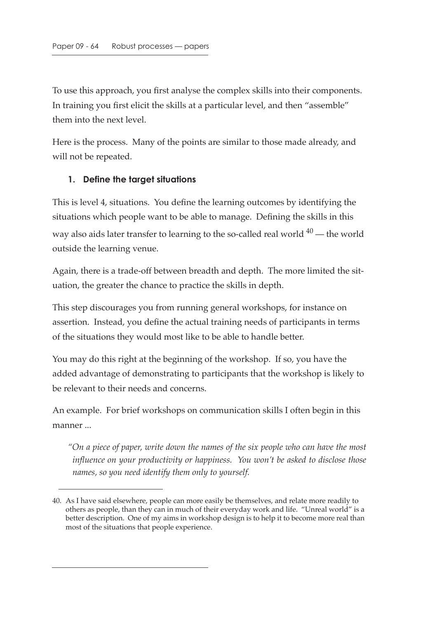To use this approach, you first analyse the complex skills into their components. In training you first elicit the skills at a particular level, and then "assemble" them into the next level.

Here is the process. Many of the points are similar to those made already, and will not be repeated.

#### **1. Define the target situations**

This is level 4, situations. You define the learning outcomes by identifying the situations which people want to be able to manage. Defining the skills in this way also aids later transfer to learning to the so-called real world  $^{40}$  — the world outside the learning venue.

Again, there is a trade-off between breadth and depth. The more limited the situation, the greater the chance to practice the skills in depth.

This step discourages you from running general workshops, for instance on assertion. Instead, you define the actual training needs of participants in terms of the situations they would most like to be able to handle better.

You may do this right at the beginning of the workshop. If so, you have the added advantage of demonstrating to participants that the workshop is likely to be relevant to their needs and concerns.

An example. For brief workshops on communication skills I often begin in this manner ...

*"On a piece of paper, write down the names of the six people who can have the most influence on your productivity or happiness. You won't be asked to disclose those names, so you need identify them only to yourself.*

<sup>40.</sup> As I have said elsewhere, people can more easily be themselves, and relate more readily to others as people, than they can in much of their everyday work and life. "Unreal world" is a better description. One of my aims in workshop design is to help it to become more real than most of the situations that people experience.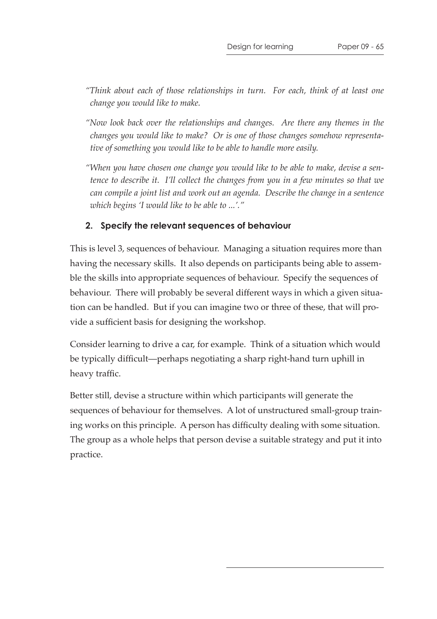- *"Think about each of those relationships in turn. For each, think of at least one change you would like to make.*
- *"Now look back over the relationships and changes. Are there any themes in the changes you would like to make? Or is one of those changes somehow representative of something you would like to be able to handle more easily.*
- *"When you have chosen one change you would like to be able to make, devise a sentence to describe it. I'll collect the changes from you in a few minutes so that we can compile a joint list and work out an agenda. Describe the change in a sentence which begins 'I would like to be able to ...'."*

#### **2. Specify the relevant sequences of behaviour**

This is level 3, sequences of behaviour. Managing a situation requires more than having the necessary skills. It also depends on participants being able to assemble the skills into appropriate sequences of behaviour. Specify the sequences of behaviour. There will probably be several different ways in which a given situation can be handled. But if you can imagine two or three of these, that will provide a sufficient basis for designing the workshop.

Consider learning to drive a car, for example. Think of a situation which would be typically difficult—perhaps negotiating a sharp right-hand turn uphill in heavy traffic.

Better still, devise a structure within which participants will generate the sequences of behaviour for themselves. A lot of unstructured small-group training works on this principle. A person has difficulty dealing with some situation. The group as a whole helps that person devise a suitable strategy and put it into practice.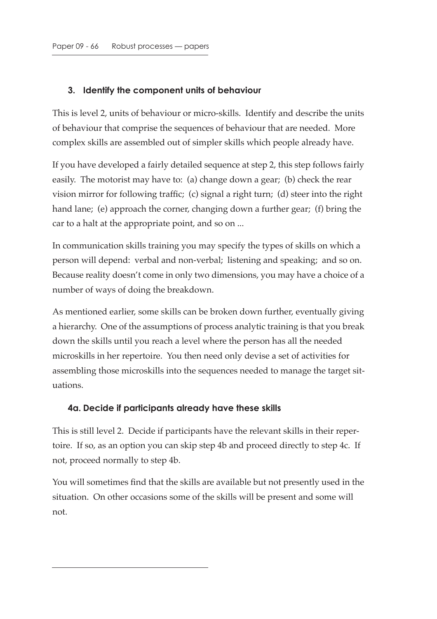### **3. Identify the component units of behaviour**

This is level 2, units of behaviour or micro-skills. Identify and describe the units of behaviour that comprise the sequences of behaviour that are needed. More complex skills are assembled out of simpler skills which people already have.

If you have developed a fairly detailed sequence at step 2, this step follows fairly easily. The motorist may have to: (a) change down a gear; (b) check the rear vision mirror for following traffic; (c) signal a right turn; (d) steer into the right hand lane; (e) approach the corner, changing down a further gear; (f) bring the car to a halt at the appropriate point, and so on ...

In communication skills training you may specify the types of skills on which a person will depend: verbal and non-verbal; listening and speaking; and so on. Because reality doesn't come in only two dimensions, you may have a choice of a number of ways of doing the breakdown.

As mentioned earlier, some skills can be broken down further, eventually giving a hierarchy. One of the assumptions of process analytic training is that you break down the skills until you reach a level where the person has all the needed microskills in her repertoire. You then need only devise a set of activities for assembling those microskills into the sequences needed to manage the target situations.

#### **4a. Decide if participants already have these skills**

This is still level 2. Decide if participants have the relevant skills in their repertoire. If so, as an option you can skip step 4b and proceed directly to step 4c. If not, proceed normally to step 4b.

You will sometimes find that the skills are available but not presently used in the situation. On other occasions some of the skills will be present and some will not.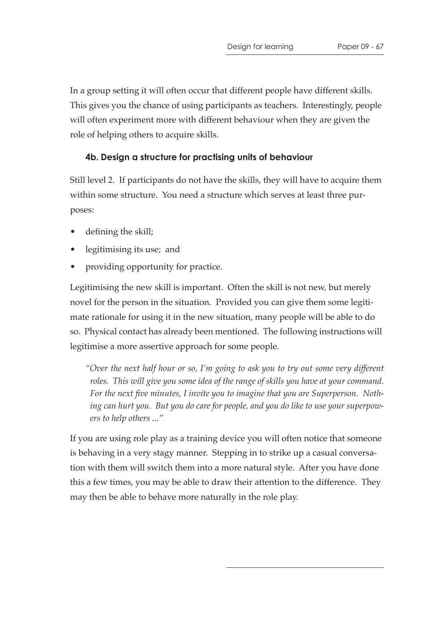In a group setting it will often occur that different people have different skills. This gives you the chance of using participants as teachers. Interestingly, people will often experiment more with different behaviour when they are given the role of helping others to acquire skills.

#### **4b. Design a structure for practising units of behaviour**

Still level 2. If participants do not have the skills, they will have to acquire them within some structure. You need a structure which serves at least three purposes:

- defining the skill;
- legitimising its use; and
- providing opportunity for practice.

Legitimising the new skill is important. Often the skill is not new, but merely novel for the person in the situation. Provided you can give them some legitimate rationale for using it in the new situation, many people will be able to do so. Physical contact has already been mentioned. The following instructions will legitimise a more assertive approach for some people.

*"Over the next half hour or so, I'm going to ask you to try out some very different roles. This will give you some idea of the range of skills you have at your command. For the next five minutes, I invite you to imagine that you are Superperson. Nothing can hurt you. But you do care for people, and you do like to use your superpowers to help others ..."*

If you are using role play as a training device you will often notice that someone is behaving in a very stagy manner. Stepping in to strike up a casual conversation with them will switch them into a more natural style. After you have done this a few times, you may be able to draw their attention to the difference. They may then be able to behave more naturally in the role play.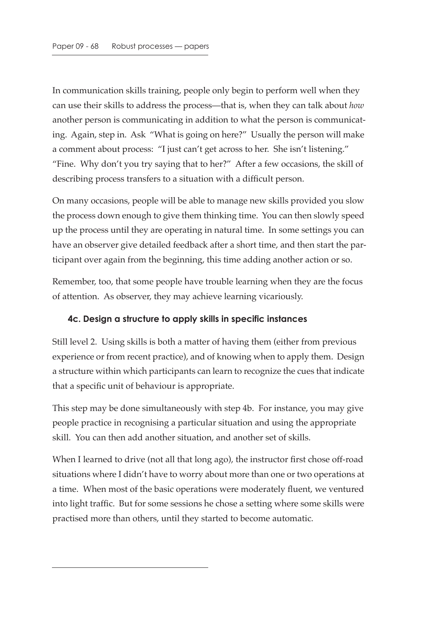In communication skills training, people only begin to perform well when they can use their skills to address the process—that is, when they can talk about *how* another person is communicating in addition to what the person is communicating. Again, step in. Ask "What is going on here?" Usually the person will make a comment about process: "I just can't get across to her. She isn't listening." "Fine. Why don't you try saying that to her?" After a few occasions, the skill of describing process transfers to a situation with a difficult person.

On many occasions, people will be able to manage new skills provided you slow the process down enough to give them thinking time. You can then slowly speed up the process until they are operating in natural time. In some settings you can have an observer give detailed feedback after a short time, and then start the participant over again from the beginning, this time adding another action or so.

Remember, too, that some people have trouble learning when they are the focus of attention. As observer, they may achieve learning vicariously.

## **4c. Design a structure to apply skills in specific instances**

Still level 2. Using skills is both a matter of having them (either from previous experience or from recent practice), and of knowing when to apply them. Design a structure within which participants can learn to recognize the cues that indicate that a specific unit of behaviour is appropriate.

This step may be done simultaneously with step 4b. For instance, you may give people practice in recognising a particular situation and using the appropriate skill. You can then add another situation, and another set of skills.

When I learned to drive (not all that long ago), the instructor first chose off-road situations where I didn't have to worry about more than one or two operations at a time. When most of the basic operations were moderately fluent, we ventured into light traffic. But for some sessions he chose a setting where some skills were practised more than others, until they started to become automatic.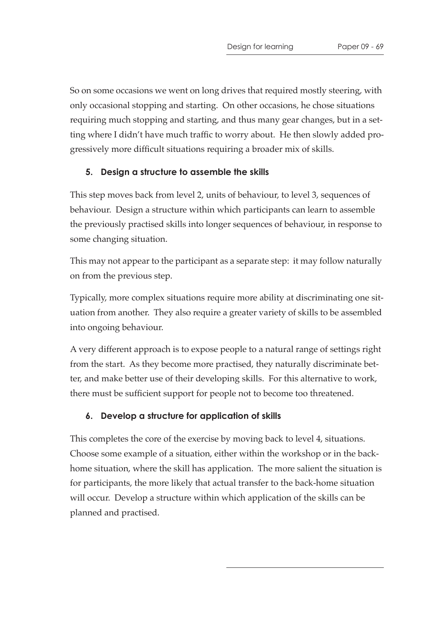So on some occasions we went on long drives that required mostly steering, with only occasional stopping and starting. On other occasions, he chose situations requiring much stopping and starting, and thus many gear changes, but in a setting where I didn't have much traffic to worry about. He then slowly added progressively more difficult situations requiring a broader mix of skills.

## **5. Design a structure to assemble the skills**

This step moves back from level 2, units of behaviour, to level 3, sequences of behaviour. Design a structure within which participants can learn to assemble the previously practised skills into longer sequences of behaviour, in response to some changing situation.

This may not appear to the participant as a separate step: it may follow naturally on from the previous step.

Typically, more complex situations require more ability at discriminating one situation from another. They also require a greater variety of skills to be assembled into ongoing behaviour.

A very different approach is to expose people to a natural range of settings right from the start. As they become more practised, they naturally discriminate better, and make better use of their developing skills. For this alternative to work, there must be sufficient support for people not to become too threatened.

## **6. Develop a structure for application of skills**

This completes the core of the exercise by moving back to level 4, situations. Choose some example of a situation, either within the workshop or in the backhome situation, where the skill has application. The more salient the situation is for participants, the more likely that actual transfer to the back-home situation will occur. Develop a structure within which application of the skills can be planned and practised.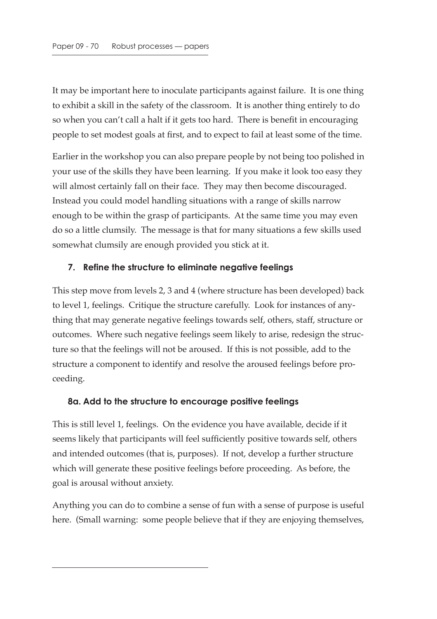It may be important here to inoculate participants against failure. It is one thing to exhibit a skill in the safety of the classroom. It is another thing entirely to do so when you can't call a halt if it gets too hard. There is benefit in encouraging people to set modest goals at first, and to expect to fail at least some of the time.

Earlier in the workshop you can also prepare people by not being too polished in your use of the skills they have been learning. If you make it look too easy they will almost certainly fall on their face. They may then become discouraged. Instead you could model handling situations with a range of skills narrow enough to be within the grasp of participants. At the same time you may even do so a little clumsily. The message is that for many situations a few skills used somewhat clumsily are enough provided you stick at it.

#### **7. Refine the structure to eliminate negative feelings**

This step move from levels 2, 3 and 4 (where structure has been developed) back to level 1, feelings. Critique the structure carefully. Look for instances of anything that may generate negative feelings towards self, others, staff, structure or outcomes. Where such negative feelings seem likely to arise, redesign the structure so that the feelings will not be aroused. If this is not possible, add to the structure a component to identify and resolve the aroused feelings before proceeding.

#### **8a. Add to the structure to encourage positive feelings**

This is still level 1, feelings. On the evidence you have available, decide if it seems likely that participants will feel sufficiently positive towards self, others and intended outcomes (that is, purposes). If not, develop a further structure which will generate these positive feelings before proceeding. As before, the goal is arousal without anxiety.

Anything you can do to combine a sense of fun with a sense of purpose is useful here. (Small warning: some people believe that if they are enjoying themselves,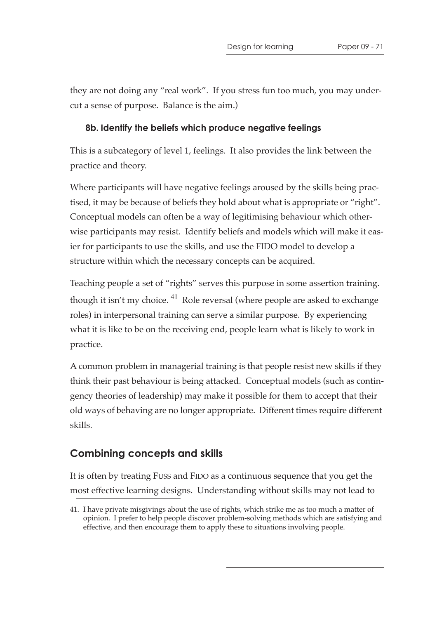they are not doing any "real work". If you stress fun too much, you may undercut a sense of purpose. Balance is the aim.)

#### **8b. Identify the beliefs which produce negative feelings**

This is a subcategory of level 1, feelings. It also provides the link between the practice and theory.

Where participants will have negative feelings aroused by the skills being practised, it may be because of beliefs they hold about what is appropriate or "right". Conceptual models can often be a way of legitimising behaviour which otherwise participants may resist. Identify beliefs and models which will make it easier for participants to use the skills, and use the FIDO model to develop a structure within which the necessary concepts can be acquired.

Teaching people a set of "rights" serves this purpose in some assertion training. though it isn't my choice.  $41$  Role reversal (where people are asked to exchange roles) in interpersonal training can serve a similar purpose. By experiencing what it is like to be on the receiving end, people learn what is likely to work in practice.

A common problem in managerial training is that people resist new skills if they think their past behaviour is being attacked. Conceptual models (such as contingency theories of leadership) may make it possible for them to accept that their old ways of behaving are no longer appropriate. Different times require different skills.

# **Combining concepts and skills**

It is often by treating FUSS and FIDO as a continuous sequence that you get the most effective learning designs. Understanding without skills may not lead to

<sup>41.</sup> I have private misgivings about the use of rights, which strike me as too much a matter of opinion. I prefer to help people discover problem-solving methods which are satisfying and effective, and then encourage them to apply these to situations involving people.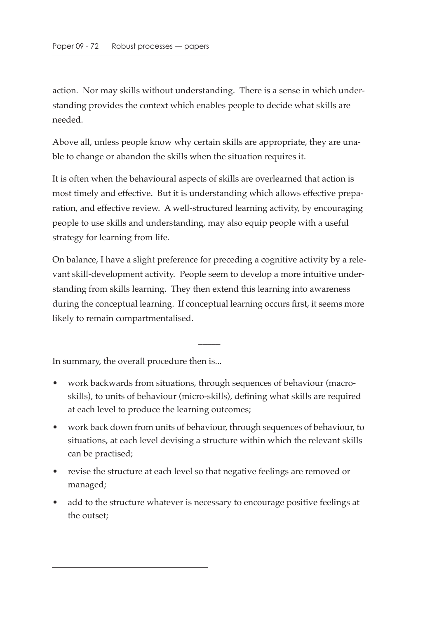action. Nor may skills without understanding. There is a sense in which understanding provides the context which enables people to decide what skills are needed.

Above all, unless people know why certain skills are appropriate, they are unable to change or abandon the skills when the situation requires it.

It is often when the behavioural aspects of skills are overlearned that action is most timely and effective. But it is understanding which allows effective preparation, and effective review. A well-structured learning activity, by encouraging people to use skills and understanding, may also equip people with a useful strategy for learning from life.

On balance, I have a slight preference for preceding a cognitive activity by a relevant skill-development activity. People seem to develop a more intuitive understanding from skills learning. They then extend this learning into awareness during the conceptual learning. If conceptual learning occurs first, it seems more likely to remain compartmentalised.

 $\overline{\phantom{a}}$ 

In summary, the overall procedure then is...

- work backwards from situations, through sequences of behaviour (macroskills), to units of behaviour (micro-skills), defining what skills are required at each level to produce the learning outcomes;
- work back down from units of behaviour, through sequences of behaviour, to situations, at each level devising a structure within which the relevant skills can be practised;
- revise the structure at each level so that negative feelings are removed or managed;
- add to the structure whatever is necessary to encourage positive feelings at the outset;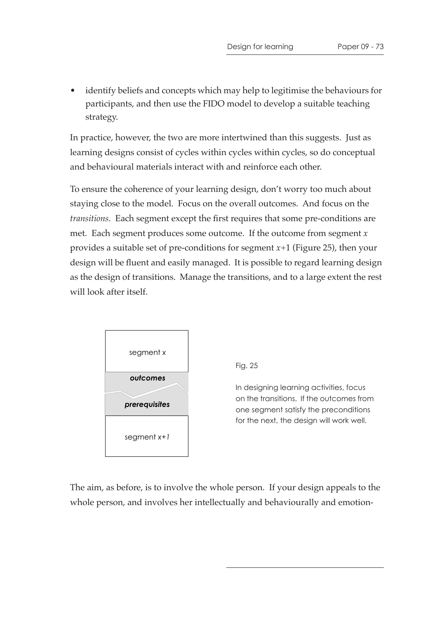• identify beliefs and concepts which may help to legitimise the behaviours for participants, and then use the FIDO model to develop a suitable teaching strategy.

In practice, however, the two are more intertwined than this suggests. Just as learning designs consist of cycles within cycles within cycles, so do conceptual and behavioural materials interact with and reinforce each other.

To ensure the coherence of your learning design, don't worry too much about staying close to the model. Focus on the overall outcomes. And focus on the *transitions*. Each segment except the first requires that some pre-conditions are met. Each segment produces some outcome. If the outcome from segment *x* provides a suitable set of pre-conditions for segment *x*+1 (Figure 25), then your design will be fluent and easily managed. It is possible to regard learning design as the design of transitions. Manage the transitions, and to a large extent the rest will look after itself.



Fig. 25

In designing learning activities, focus on the transitions. If the outcomes from one segment satisfy the preconditions for the next, the design will work well.

The aim, as before, is to involve the whole person. If your design appeals to the whole person, and involves her intellectually and behaviourally and emotion-